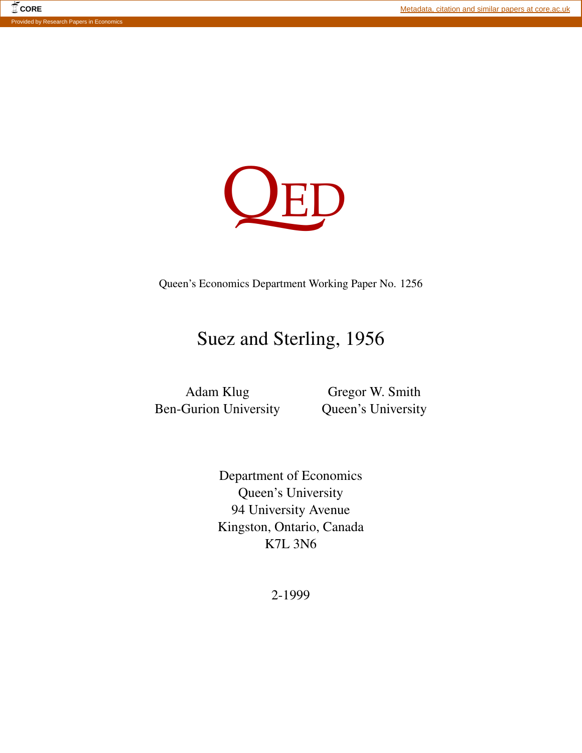

Queen's Economics Department Working Paper No. 1256

# Suez and Sterling, 1956

Adam Klug Ben-Gurion University

Gregor W. Smith Queen's University

Department of Economics Queen's University 94 University Avenue Kingston, Ontario, Canada K7L 3N6

2-1999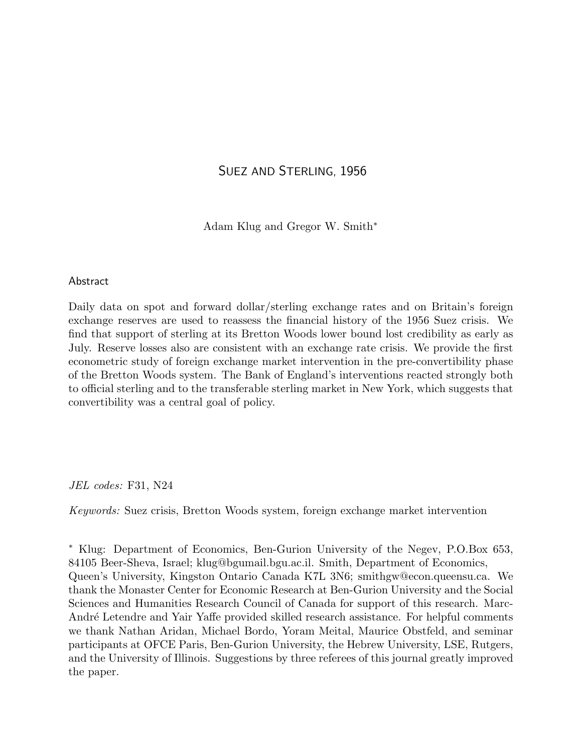# SUEZ AND STERLING, 1956

Adam Klug and Gregor W. Smith<sup>∗</sup>

# Abstract

Daily data on spot and forward dollar/sterling exchange rates and on Britain's foreign exchange reserves are used to reassess the financial history of the 1956 Suez crisis. We find that support of sterling at its Bretton Woods lower bound lost credibility as early as July. Reserve losses also are consistent with an exchange rate crisis. We provide the first econometric study of foreign exchange market intervention in the pre-convertibility phase of the Bretton Woods system. The Bank of England's interventions reacted strongly both to official sterling and to the transferable sterling market in New York, which suggests that convertibility was a central goal of policy.

*JEL codes:* F31, N24

*Keywords:* Suez crisis, Bretton Woods system, foreign exchange market intervention

<sup>∗</sup> Klug: Department of Economics, Ben-Gurion University of the Negev, P.O.Box 653, 84105 Beer-Sheva, Israel; klug@bgumail.bgu.ac.il. Smith, Department of Economics, Queen's University, Kingston Ontario Canada K7L 3N6; smithgw@econ.queensu.ca. We thank the Monaster Center for Economic Research at Ben-Gurion University and the Social Sciences and Humanities Research Council of Canada for support of this research. Marc-André Letendre and Yair Yaffe provided skilled research assistance. For helpful comments we thank Nathan Aridan, Michael Bordo, Yoram Meital, Maurice Obstfeld, and seminar participants at OFCE Paris, Ben-Gurion University, the Hebrew University, LSE, Rutgers, and the University of Illinois. Suggestions by three referees of this journal greatly improved the paper.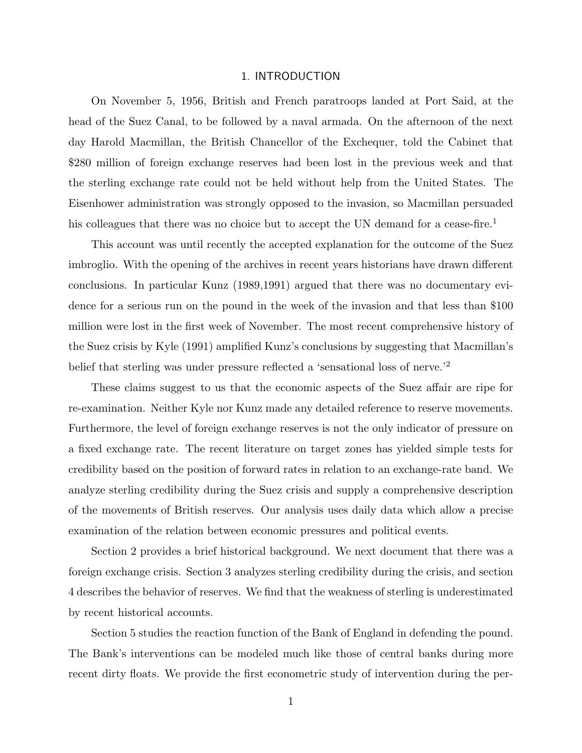#### 1. INTRODUCTION

On November 5, 1956, British and French paratroops landed at Port Said, at the head of the Suez Canal, to be followed by a naval armada. On the afternoon of the next day Harold Macmillan, the British Chancellor of the Exchequer, told the Cabinet that \$280 million of foreign exchange reserves had been lost in the previous week and that the sterling exchange rate could not be held without help from the United States. The Eisenhower administration was strongly opposed to the invasion, so Macmillan persuaded his colleagues that there was no choice but to accept the UN demand for a cease-fire.<sup>1</sup>

This account was until recently the accepted explanation for the outcome of the Suez imbroglio. With the opening of the archives in recent years historians have drawn different conclusions. In particular Kunz (1989,1991) argued that there was no documentary evidence for a serious run on the pound in the week of the invasion and that less than \$100 million were lost in the first week of November. The most recent comprehensive history of the Suez crisis by Kyle (1991) amplified Kunz's conclusions by suggesting that Macmillan's belief that sterling was under pressure reflected a 'sensational loss of nerve.'<sup>2</sup>

These claims suggest to us that the economic aspects of the Suez affair are ripe for re-examination. Neither Kyle nor Kunz made any detailed reference to reserve movements. Furthermore, the level of foreign exchange reserves is not the only indicator of pressure on a fixed exchange rate. The recent literature on target zones has yielded simple tests for credibility based on the position of forward rates in relation to an exchange-rate band. We analyze sterling credibility during the Suez crisis and supply a comprehensive description of the movements of British reserves. Our analysis uses daily data which allow a precise examination of the relation between economic pressures and political events.

Section 2 provides a brief historical background. We next document that there was a foreign exchange crisis. Section 3 analyzes sterling credibility during the crisis, and section 4 describes the behavior of reserves. We find that the weakness of sterling is underestimated by recent historical accounts.

Section 5 studies the reaction function of the Bank of England in defending the pound. The Bank's interventions can be modeled much like those of central banks during more recent dirty floats. We provide the first econometric study of intervention during the per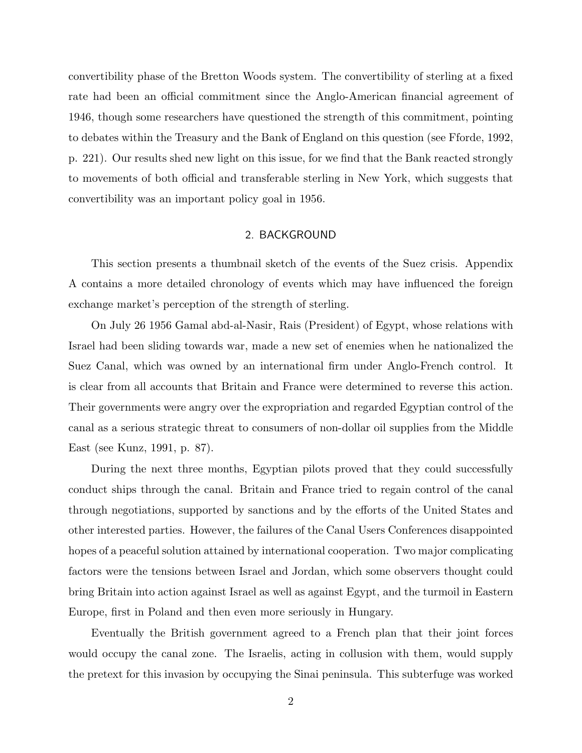convertibility phase of the Bretton Woods system. The convertibility of sterling at a fixed rate had been an official commitment since the Anglo-American financial agreement of 1946, though some researchers have questioned the strength of this commitment, pointing to debates within the Treasury and the Bank of England on this question (see Fforde, 1992, p. 221). Our results shed new light on this issue, for we find that the Bank reacted strongly to movements of both official and transferable sterling in New York, which suggests that convertibility was an important policy goal in 1956.

# 2. BACKGROUND

This section presents a thumbnail sketch of the events of the Suez crisis. Appendix A contains a more detailed chronology of events which may have influenced the foreign exchange market's perception of the strength of sterling.

On July 26 1956 Gamal abd-al-Nasir, Rais (President) of Egypt, whose relations with Israel had been sliding towards war, made a new set of enemies when he nationalized the Suez Canal, which was owned by an international firm under Anglo-French control. It is clear from all accounts that Britain and France were determined to reverse this action. Their governments were angry over the expropriation and regarded Egyptian control of the canal as a serious strategic threat to consumers of non-dollar oil supplies from the Middle East (see Kunz, 1991, p. 87).

During the next three months, Egyptian pilots proved that they could successfully conduct ships through the canal. Britain and France tried to regain control of the canal through negotiations, supported by sanctions and by the efforts of the United States and other interested parties. However, the failures of the Canal Users Conferences disappointed hopes of a peaceful solution attained by international cooperation. Two major complicating factors were the tensions between Israel and Jordan, which some observers thought could bring Britain into action against Israel as well as against Egypt, and the turmoil in Eastern Europe, first in Poland and then even more seriously in Hungary.

Eventually the British government agreed to a French plan that their joint forces would occupy the canal zone. The Israelis, acting in collusion with them, would supply the pretext for this invasion by occupying the Sinai peninsula. This subterfuge was worked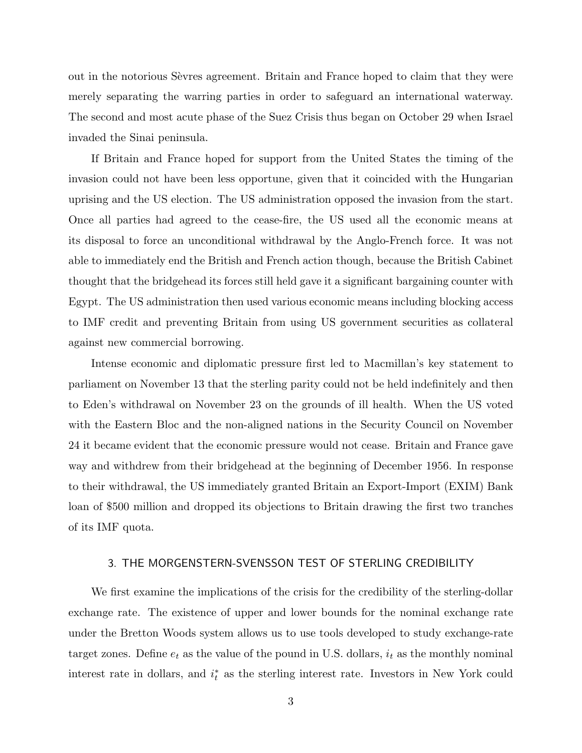out in the notorious Sevres agreement. Britain and France hoped to claim that they were merely separating the warring parties in order to safeguard an international waterway. The second and most acute phase of the Suez Crisis thus began on October 29 when Israel invaded the Sinai peninsula.

If Britain and France hoped for support from the United States the timing of the invasion could not have been less opportune, given that it coincided with the Hungarian uprising and the US election. The US administration opposed the invasion from the start. Once all parties had agreed to the cease-fire, the US used all the economic means at its disposal to force an unconditional withdrawal by the Anglo-French force. It was not able to immediately end the British and French action though, because the British Cabinet thought that the bridgehead its forces still held gave it a significant bargaining counter with Egypt. The US administration then used various economic means including blocking access to IMF credit and preventing Britain from using US government securities as collateral against new commercial borrowing.

Intense economic and diplomatic pressure first led to Macmillan's key statement to parliament on November 13 that the sterling parity could not be held indefinitely and then to Eden's withdrawal on November 23 on the grounds of ill health. When the US voted with the Eastern Bloc and the non-aligned nations in the Security Council on November 24 it became evident that the economic pressure would not cease. Britain and France gave way and withdrew from their bridgehead at the beginning of December 1956. In response to their withdrawal, the US immediately granted Britain an Export-Import (EXIM) Bank loan of \$500 million and dropped its objections to Britain drawing the first two tranches of its IMF quota.

## 3. THE MORGENSTERN-SVENSSON TEST OF STERLING CREDIBILITY

We first examine the implications of the crisis for the credibility of the sterling-dollar exchange rate. The existence of upper and lower bounds for the nominal exchange rate under the Bretton Woods system allows us to use tools developed to study exchange-rate target zones. Define  $e_t$  as the value of the pound in U.S. dollars,  $i_t$  as the monthly nominal interest rate in dollars, and  $i_t^*$  as the sterling interest rate. Investors in New York could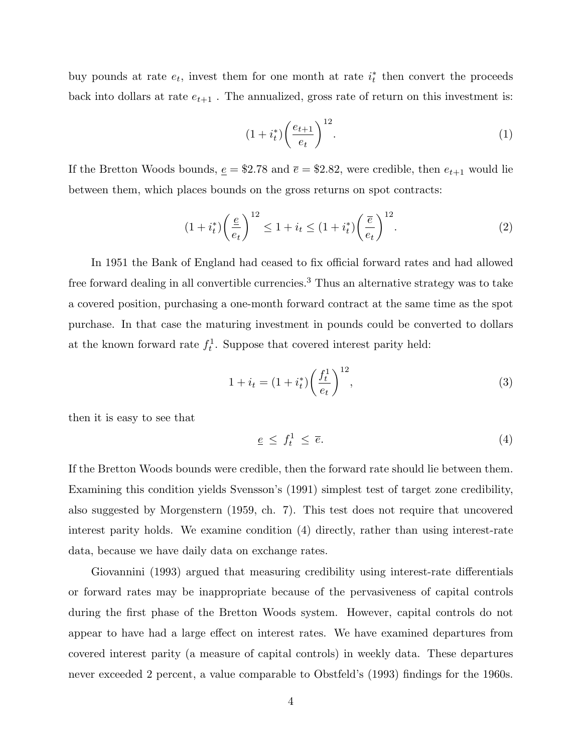buy pounds at rate  $e_t$ , invest them for one month at rate  $i_t^*$  then convert the proceeds back into dollars at rate  $e_{t+1}$ . The annualized, gross rate of return on this investment is:

$$
(1+it*)\left(\frac{e_{t+1}}{e_t}\right)^{12}.\tag{1}
$$

If the Bretton Woods bounds,  $\underline{e} = $2.78$  and  $\overline{e} = $2.82$ , were credible, then  $e_{t+1}$  would lie between them, which places bounds on the gross returns on spot contracts:

$$
(1 + i_t^*) \left(\frac{e}{e_t}\right)^{12} \le 1 + i_t \le (1 + i_t^*) \left(\frac{\overline{e}}{e_t}\right)^{12}.
$$
 (2)

In 1951 the Bank of England had ceased to fix official forward rates and had allowed free forward dealing in all convertible currencies.<sup>3</sup> Thus an alternative strategy was to take a covered position, purchasing a one-month forward contract at the same time as the spot purchase. In that case the maturing investment in pounds could be converted to dollars at the known forward rate  $f_t^1$ . Suppose that covered interest parity held:

$$
1 + i_t = (1 + i_t^*) \left(\frac{f_t^1}{e_t}\right)^{12},\tag{3}
$$

then it is easy to see that

$$
\underline{e} \le f_t^1 \le \overline{e}.\tag{4}
$$

If the Bretton Woods bounds were credible, then the forward rate should lie between them. Examining this condition yields Svensson's (1991) simplest test of target zone credibility, also suggested by Morgenstern (1959, ch. 7). This test does not require that uncovered interest parity holds. We examine condition (4) directly, rather than using interest-rate data, because we have daily data on exchange rates.

Giovannini (1993) argued that measuring credibility using interest-rate differentials or forward rates may be inappropriate because of the pervasiveness of capital controls during the first phase of the Bretton Woods system. However, capital controls do not appear to have had a large effect on interest rates. We have examined departures from covered interest parity (a measure of capital controls) in weekly data. These departures never exceeded 2 percent, a value comparable to Obstfeld's (1993) findings for the 1960s.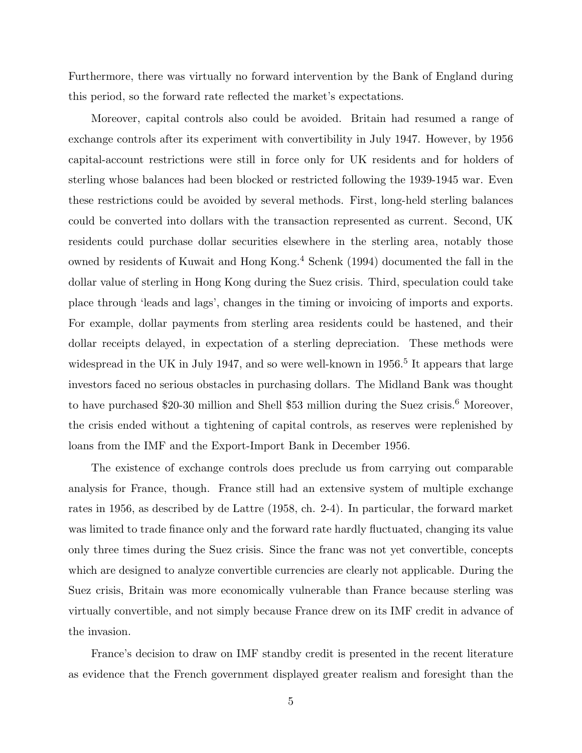Furthermore, there was virtually no forward intervention by the Bank of England during this period, so the forward rate reflected the market's expectations.

Moreover, capital controls also could be avoided. Britain had resumed a range of exchange controls after its experiment with convertibility in July 1947. However, by 1956 capital-account restrictions were still in force only for UK residents and for holders of sterling whose balances had been blocked or restricted following the 1939-1945 war. Even these restrictions could be avoided by several methods. First, long-held sterling balances could be converted into dollars with the transaction represented as current. Second, UK residents could purchase dollar securities elsewhere in the sterling area, notably those owned by residents of Kuwait and Hong Kong.<sup>4</sup> Schenk (1994) documented the fall in the dollar value of sterling in Hong Kong during the Suez crisis. Third, speculation could take place through 'leads and lags', changes in the timing or invoicing of imports and exports. For example, dollar payments from sterling area residents could be hastened, and their dollar receipts delayed, in expectation of a sterling depreciation. These methods were widespread in the UK in July 1947, and so were well-known in  $1956<sup>5</sup>$  It appears that large investors faced no serious obstacles in purchasing dollars. The Midland Bank was thought to have purchased \$20-30 million and Shell \$53 million during the Suez crisis.<sup>6</sup> Moreover, the crisis ended without a tightening of capital controls, as reserves were replenished by loans from the IMF and the Export-Import Bank in December 1956.

The existence of exchange controls does preclude us from carrying out comparable analysis for France, though. France still had an extensive system of multiple exchange rates in 1956, as described by de Lattre (1958, ch. 2-4). In particular, the forward market was limited to trade finance only and the forward rate hardly fluctuated, changing its value only three times during the Suez crisis. Since the franc was not yet convertible, concepts which are designed to analyze convertible currencies are clearly not applicable. During the Suez crisis, Britain was more economically vulnerable than France because sterling was virtually convertible, and not simply because France drew on its IMF credit in advance of the invasion.

France's decision to draw on IMF standby credit is presented in the recent literature as evidence that the French government displayed greater realism and foresight than the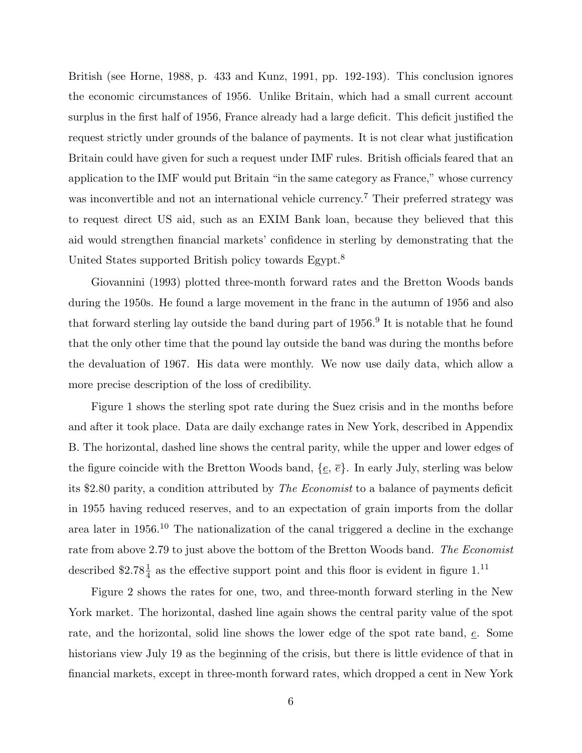British (see Horne, 1988, p. 433 and Kunz, 1991, pp. 192-193). This conclusion ignores the economic circumstances of 1956. Unlike Britain, which had a small current account surplus in the first half of 1956, France already had a large deficit. This deficit justified the request strictly under grounds of the balance of payments. It is not clear what justification Britain could have given for such a request under IMF rules. British officials feared that an application to the IMF would put Britain "in the same category as France," whose currency was inconvertible and not an international vehicle currency.<sup>7</sup> Their preferred strategy was to request direct US aid, such as an EXIM Bank loan, because they believed that this aid would strengthen financial markets' confidence in sterling by demonstrating that the United States supported British policy towards Egypt.<sup>8</sup>

Giovannini (1993) plotted three-month forward rates and the Bretton Woods bands during the 1950s. He found a large movement in the franc in the autumn of 1956 and also that forward sterling lay outside the band during part of  $1956<sup>9</sup>$  It is notable that he found that the only other time that the pound lay outside the band was during the months before the devaluation of 1967. His data were monthly. We now use daily data, which allow a more precise description of the loss of credibility.

Figure 1 shows the sterling spot rate during the Suez crisis and in the months before and after it took place. Data are daily exchange rates in New York, described in Appendix B. The horizontal, dashed line shows the central parity, while the upper and lower edges of the figure coincide with the Bretton Woods band,  $\{e, \overline{e}\}$ . In early July, sterling was below its \$2.80 parity, a condition attributed by *The Economist* to a balance of payments deficit in 1955 having reduced reserves, and to an expectation of grain imports from the dollar area later in 1956.<sup>10</sup> The nationalization of the canal triggered a decline in the exchange rate from above 2.79 to just above the bottom of the Bretton Woods band. *The Economist* described \$2.78 $\frac{1}{4}$  as the effective support point and this floor is evident in figure 1.<sup>11</sup>

Figure 2 shows the rates for one, two, and three-month forward sterling in the New York market. The horizontal, dashed line again shows the central parity value of the spot rate, and the horizontal, solid line shows the lower edge of the spot rate band, e. Some historians view July 19 as the beginning of the crisis, but there is little evidence of that in financial markets, except in three-month forward rates, which dropped a cent in New York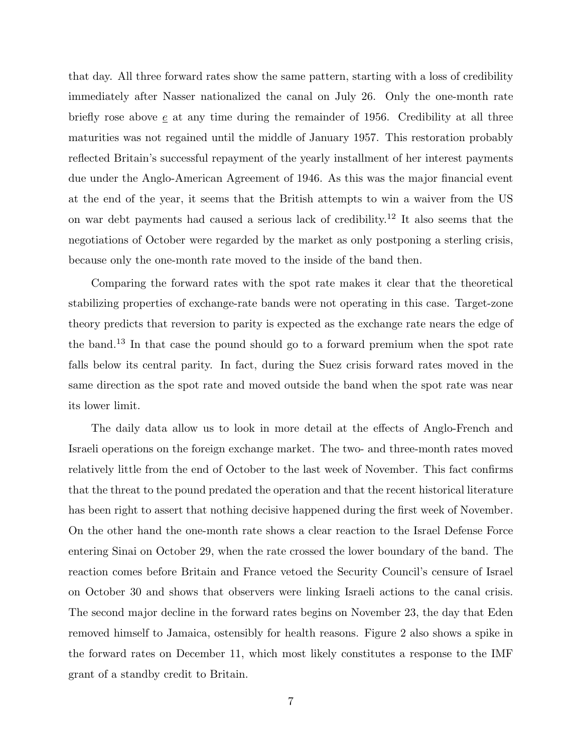that day. All three forward rates show the same pattern, starting with a loss of credibility immediately after Nasser nationalized the canal on July 26. Only the one-month rate briefly rose above  $\epsilon$  at any time during the remainder of 1956. Credibility at all three maturities was not regained until the middle of January 1957. This restoration probably reflected Britain's successful repayment of the yearly installment of her interest payments due under the Anglo-American Agreement of 1946. As this was the major financial event at the end of the year, it seems that the British attempts to win a waiver from the US on war debt payments had caused a serious lack of credibility.<sup>12</sup> It also seems that the negotiations of October were regarded by the market as only postponing a sterling crisis, because only the one-month rate moved to the inside of the band then.

Comparing the forward rates with the spot rate makes it clear that the theoretical stabilizing properties of exchange-rate bands were not operating in this case. Target-zone theory predicts that reversion to parity is expected as the exchange rate nears the edge of the band.<sup>13</sup> In that case the pound should go to a forward premium when the spot rate falls below its central parity. In fact, during the Suez crisis forward rates moved in the same direction as the spot rate and moved outside the band when the spot rate was near its lower limit.

The daily data allow us to look in more detail at the effects of Anglo-French and Israeli operations on the foreign exchange market. The two- and three-month rates moved relatively little from the end of October to the last week of November. This fact confirms that the threat to the pound predated the operation and that the recent historical literature has been right to assert that nothing decisive happened during the first week of November. On the other hand the one-month rate shows a clear reaction to the Israel Defense Force entering Sinai on October 29, when the rate crossed the lower boundary of the band. The reaction comes before Britain and France vetoed the Security Council's censure of Israel on October 30 and shows that observers were linking Israeli actions to the canal crisis. The second major decline in the forward rates begins on November 23, the day that Eden removed himself to Jamaica, ostensibly for health reasons. Figure 2 also shows a spike in the forward rates on December 11, which most likely constitutes a response to the IMF grant of a standby credit to Britain.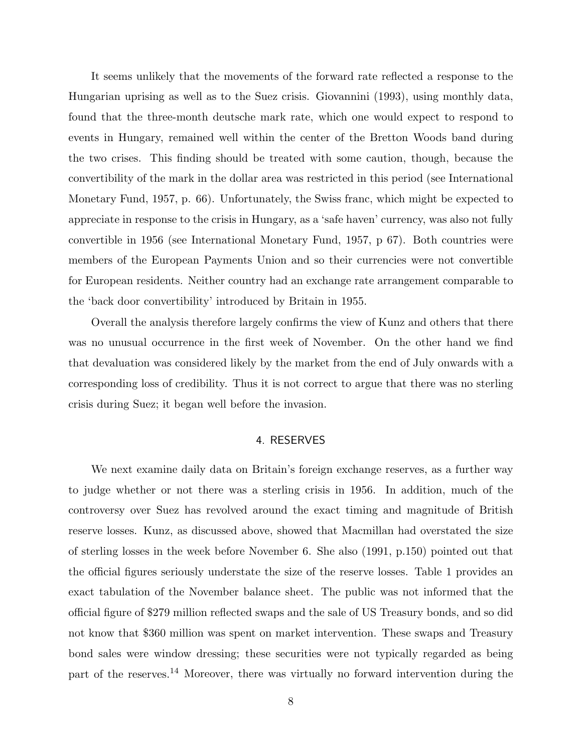It seems unlikely that the movements of the forward rate reflected a response to the Hungarian uprising as well as to the Suez crisis. Giovannini (1993), using monthly data, found that the three-month deutsche mark rate, which one would expect to respond to events in Hungary, remained well within the center of the Bretton Woods band during the two crises. This finding should be treated with some caution, though, because the convertibility of the mark in the dollar area was restricted in this period (see International Monetary Fund, 1957, p. 66). Unfortunately, the Swiss franc, which might be expected to appreciate in response to the crisis in Hungary, as a 'safe haven' currency, was also not fully convertible in 1956 (see International Monetary Fund, 1957, p 67). Both countries were members of the European Payments Union and so their currencies were not convertible for European residents. Neither country had an exchange rate arrangement comparable to the 'back door convertibility' introduced by Britain in 1955.

Overall the analysis therefore largely confirms the view of Kunz and others that there was no unusual occurrence in the first week of November. On the other hand we find that devaluation was considered likely by the market from the end of July onwards with a corresponding loss of credibility. Thus it is not correct to argue that there was no sterling crisis during Suez; it began well before the invasion.

## 4. RESERVES

We next examine daily data on Britain's foreign exchange reserves, as a further way to judge whether or not there was a sterling crisis in 1956. In addition, much of the controversy over Suez has revolved around the exact timing and magnitude of British reserve losses. Kunz, as discussed above, showed that Macmillan had overstated the size of sterling losses in the week before November 6. She also (1991, p.150) pointed out that the official figures seriously understate the size of the reserve losses. Table 1 provides an exact tabulation of the November balance sheet. The public was not informed that the official figure of \$279 million reflected swaps and the sale of US Treasury bonds, and so did not know that \$360 million was spent on market intervention. These swaps and Treasury bond sales were window dressing; these securities were not typically regarded as being part of the reserves.<sup>14</sup> Moreover, there was virtually no forward intervention during the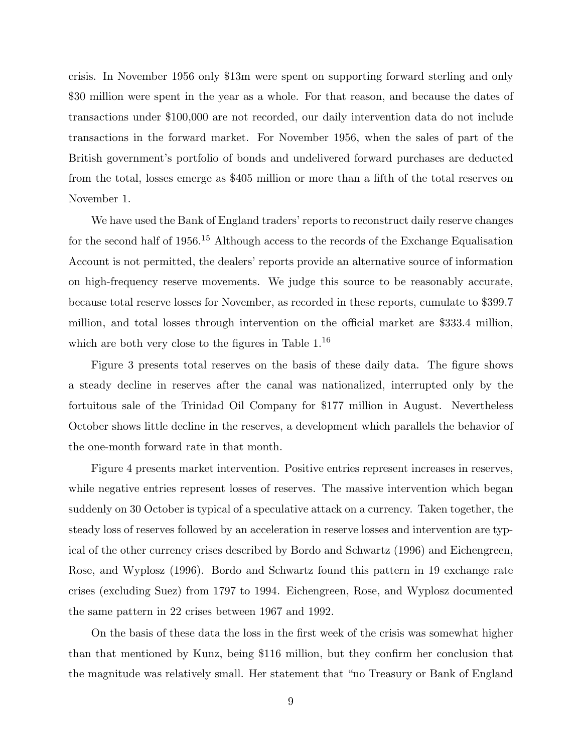crisis. In November 1956 only \$13m were spent on supporting forward sterling and only \$30 million were spent in the year as a whole. For that reason, and because the dates of transactions under \$100,000 are not recorded, our daily intervention data do not include transactions in the forward market. For November 1956, when the sales of part of the British government's portfolio of bonds and undelivered forward purchases are deducted from the total, losses emerge as \$405 million or more than a fifth of the total reserves on November 1.

We have used the Bank of England traders' reports to reconstruct daily reserve changes for the second half of 1956.<sup>15</sup> Although access to the records of the Exchange Equalisation Account is not permitted, the dealers' reports provide an alternative source of information on high-frequency reserve movements. We judge this source to be reasonably accurate, because total reserve losses for November, as recorded in these reports, cumulate to \$399.7 million, and total losses through intervention on the official market are \$333.4 million, which are both very close to the figures in Table  $1^{16}$ 

Figure 3 presents total reserves on the basis of these daily data. The figure shows a steady decline in reserves after the canal was nationalized, interrupted only by the fortuitous sale of the Trinidad Oil Company for \$177 million in August. Nevertheless October shows little decline in the reserves, a development which parallels the behavior of the one-month forward rate in that month.

Figure 4 presents market intervention. Positive entries represent increases in reserves, while negative entries represent losses of reserves. The massive intervention which began suddenly on 30 October is typical of a speculative attack on a currency. Taken together, the steady loss of reserves followed by an acceleration in reserve losses and intervention are typical of the other currency crises described by Bordo and Schwartz (1996) and Eichengreen, Rose, and Wyplosz (1996). Bordo and Schwartz found this pattern in 19 exchange rate crises (excluding Suez) from 1797 to 1994. Eichengreen, Rose, and Wyplosz documented the same pattern in 22 crises between 1967 and 1992.

On the basis of these data the loss in the first week of the crisis was somewhat higher than that mentioned by Kunz, being \$116 million, but they confirm her conclusion that the magnitude was relatively small. Her statement that "no Treasury or Bank of England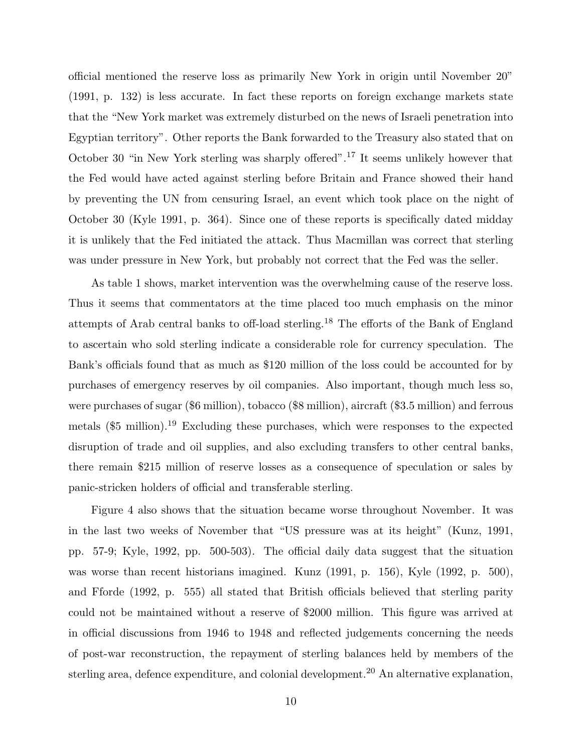official mentioned the reserve loss as primarily New York in origin until November 20" (1991, p. 132) is less accurate. In fact these reports on foreign exchange markets state that the "New York market was extremely disturbed on the news of Israeli penetration into Egyptian territory". Other reports the Bank forwarded to the Treasury also stated that on October 30 "in New York sterling was sharply offered".<sup>17</sup> It seems unlikely however that the Fed would have acted against sterling before Britain and France showed their hand by preventing the UN from censuring Israel, an event which took place on the night of October 30 (Kyle 1991, p. 364). Since one of these reports is specifically dated midday it is unlikely that the Fed initiated the attack. Thus Macmillan was correct that sterling was under pressure in New York, but probably not correct that the Fed was the seller.

As table 1 shows, market intervention was the overwhelming cause of the reserve loss. Thus it seems that commentators at the time placed too much emphasis on the minor attempts of Arab central banks to off-load sterling.<sup>18</sup> The efforts of the Bank of England to ascertain who sold sterling indicate a considerable role for currency speculation. The Bank's officials found that as much as \$120 million of the loss could be accounted for by purchases of emergency reserves by oil companies. Also important, though much less so, were purchases of sugar (\$6 million), tobacco (\$8 million), aircraft (\$3.5 million) and ferrous metals (\$5 million).<sup>19</sup> Excluding these purchases, which were responses to the expected disruption of trade and oil supplies, and also excluding transfers to other central banks, there remain \$215 million of reserve losses as a consequence of speculation or sales by panic-stricken holders of official and transferable sterling.

Figure 4 also shows that the situation became worse throughout November. It was in the last two weeks of November that "US pressure was at its height" (Kunz, 1991, pp. 57-9; Kyle, 1992, pp. 500-503). The official daily data suggest that the situation was worse than recent historians imagined. Kunz (1991, p. 156), Kyle (1992, p. 500), and Fforde (1992, p. 555) all stated that British officials believed that sterling parity could not be maintained without a reserve of \$2000 million. This figure was arrived at in official discussions from 1946 to 1948 and reflected judgements concerning the needs of post-war reconstruction, the repayment of sterling balances held by members of the sterling area, defence expenditure, and colonial development.<sup>20</sup> An alternative explanation,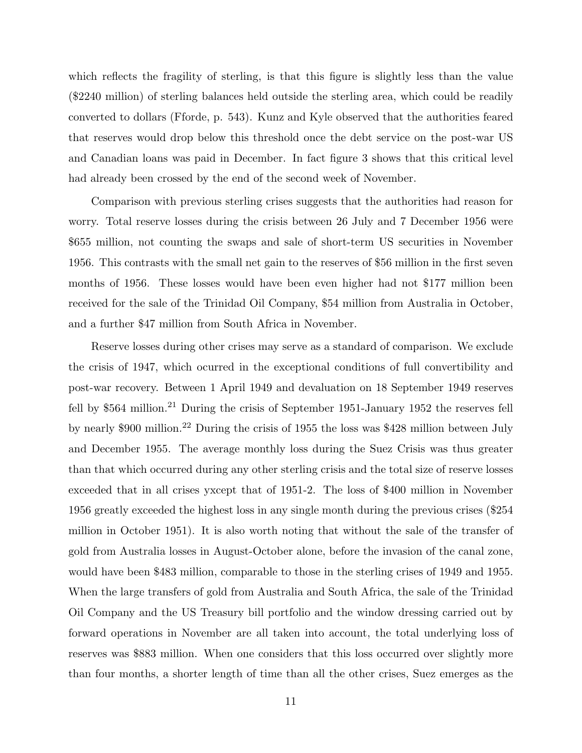which reflects the fragility of sterling, is that this figure is slightly less than the value (\$2240 million) of sterling balances held outside the sterling area, which could be readily converted to dollars (Fforde, p. 543). Kunz and Kyle observed that the authorities feared that reserves would drop below this threshold once the debt service on the post-war US and Canadian loans was paid in December. In fact figure 3 shows that this critical level had already been crossed by the end of the second week of November.

Comparison with previous sterling crises suggests that the authorities had reason for worry. Total reserve losses during the crisis between 26 July and 7 December 1956 were \$655 million, not counting the swaps and sale of short-term US securities in November 1956. This contrasts with the small net gain to the reserves of \$56 million in the first seven months of 1956. These losses would have been even higher had not \$177 million been received for the sale of the Trinidad Oil Company, \$54 million from Australia in October, and a further \$47 million from South Africa in November.

Reserve losses during other crises may serve as a standard of comparison. We exclude the crisis of 1947, which ocurred in the exceptional conditions of full convertibility and post-war recovery. Between 1 April 1949 and devaluation on 18 September 1949 reserves fell by  $$564$  million.<sup>21</sup> During the crisis of September 1951-January 1952 the reserves fell by nearly \$900 million.<sup>22</sup> During the crisis of 1955 the loss was \$428 million between July and December 1955. The average monthly loss during the Suez Crisis was thus greater than that which occurred during any other sterling crisis and the total size of reserve losses exceeded that in all crises yxcept that of 1951-2. The loss of \$400 million in November 1956 greatly exceeded the highest loss in any single month during the previous crises (\$254 million in October 1951). It is also worth noting that without the sale of the transfer of gold from Australia losses in August-October alone, before the invasion of the canal zone, would have been \$483 million, comparable to those in the sterling crises of 1949 and 1955. When the large transfers of gold from Australia and South Africa, the sale of the Trinidad Oil Company and the US Treasury bill portfolio and the window dressing carried out by forward operations in November are all taken into account, the total underlying loss of reserves was \$883 million. When one considers that this loss occurred over slightly more than four months, a shorter length of time than all the other crises, Suez emerges as the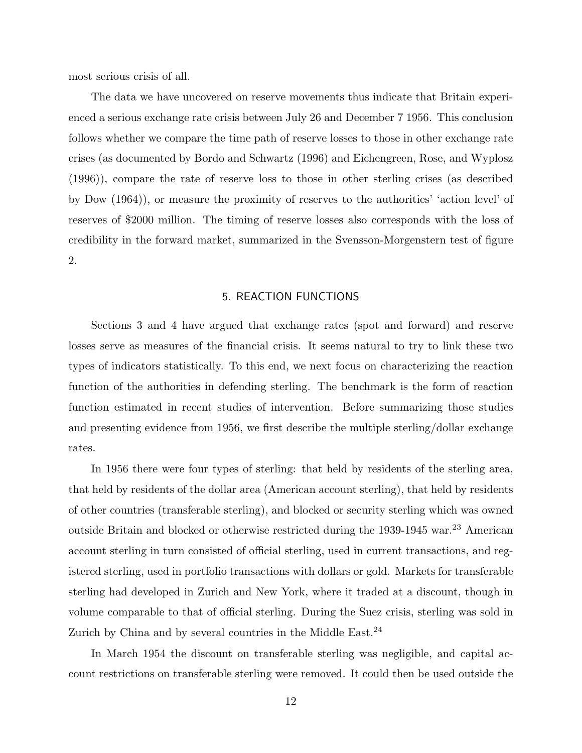most serious crisis of all.

The data we have uncovered on reserve movements thus indicate that Britain experienced a serious exchange rate crisis between July 26 and December 7 1956. This conclusion follows whether we compare the time path of reserve losses to those in other exchange rate crises (as documented by Bordo and Schwartz (1996) and Eichengreen, Rose, and Wyplosz (1996)), compare the rate of reserve loss to those in other sterling crises (as described by Dow (1964)), or measure the proximity of reserves to the authorities' 'action level' of reserves of \$2000 million. The timing of reserve losses also corresponds with the loss of credibility in the forward market, summarized in the Svensson-Morgenstern test of figure 2.

#### 5. REACTION FUNCTIONS

Sections 3 and 4 have argued that exchange rates (spot and forward) and reserve losses serve as measures of the financial crisis. It seems natural to try to link these two types of indicators statistically. To this end, we next focus on characterizing the reaction function of the authorities in defending sterling. The benchmark is the form of reaction function estimated in recent studies of intervention. Before summarizing those studies and presenting evidence from 1956, we first describe the multiple sterling/dollar exchange rates.

In 1956 there were four types of sterling: that held by residents of the sterling area, that held by residents of the dollar area (American account sterling), that held by residents of other countries (transferable sterling), and blocked or security sterling which was owned outside Britain and blocked or otherwise restricted during the 1939-1945 war.<sup>23</sup> American account sterling in turn consisted of official sterling, used in current transactions, and registered sterling, used in portfolio transactions with dollars or gold. Markets for transferable sterling had developed in Zurich and New York, where it traded at a discount, though in volume comparable to that of official sterling. During the Suez crisis, sterling was sold in Zurich by China and by several countries in the Middle East. $^{24}$ 

In March 1954 the discount on transferable sterling was negligible, and capital account restrictions on transferable sterling were removed. It could then be used outside the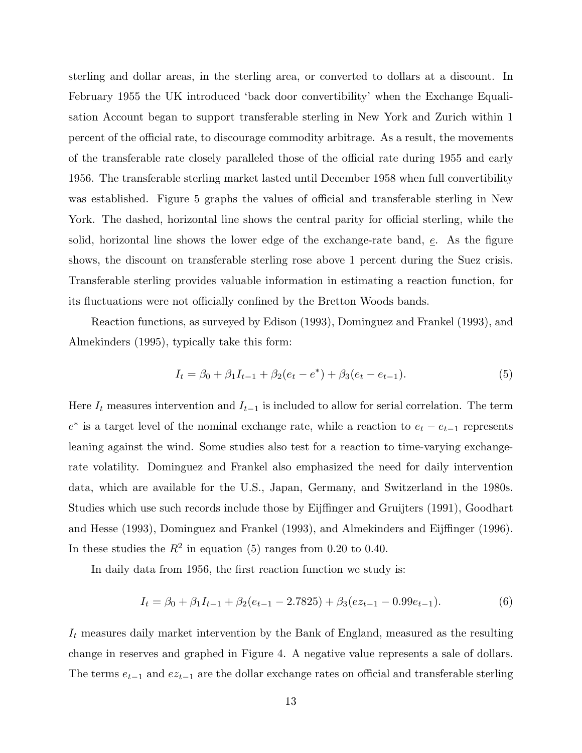sterling and dollar areas, in the sterling area, or converted to dollars at a discount. In February 1955 the UK introduced 'back door convertibility' when the Exchange Equalisation Account began to support transferable sterling in New York and Zurich within 1 percent of the official rate, to discourage commodity arbitrage. As a result, the movements of the transferable rate closely paralleled those of the official rate during 1955 and early 1956. The transferable sterling market lasted until December 1958 when full convertibility was established. Figure 5 graphs the values of official and transferable sterling in New York. The dashed, horizontal line shows the central parity for official sterling, while the solid, horizontal line shows the lower edge of the exchange-rate band,  $e$ . As the figure shows, the discount on transferable sterling rose above 1 percent during the Suez crisis. Transferable sterling provides valuable information in estimating a reaction function, for its fluctuations were not officially confined by the Bretton Woods bands.

Reaction functions, as surveyed by Edison (1993), Dominguez and Frankel (1993), and Almekinders (1995), typically take this form:

$$
I_t = \beta_0 + \beta_1 I_{t-1} + \beta_2 (e_t - e^*) + \beta_3 (e_t - e_{t-1}).
$$
\n(5)

Here  $I_t$  measures intervention and  $I_{t-1}$  is included to allow for serial correlation. The term  $e^*$  is a target level of the nominal exchange rate, while a reaction to  $e_t - e_{t-1}$  represents leaning against the wind. Some studies also test for a reaction to time-varying exchangerate volatility. Dominguez and Frankel also emphasized the need for daily intervention data, which are available for the U.S., Japan, Germany, and Switzerland in the 1980s. Studies which use such records include those by Eijffinger and Gruijters (1991), Goodhart and Hesse (1993), Dominguez and Frankel (1993), and Almekinders and Eijffinger (1996). In these studies the  $R^2$  in equation (5) ranges from 0.20 to 0.40.

In daily data from 1956, the first reaction function we study is:

$$
I_t = \beta_0 + \beta_1 I_{t-1} + \beta_2 (e_{t-1} - 2.7825) + \beta_3 (e z_{t-1} - 0.99 e_{t-1}).
$$
\n(6)

 $I_t$  measures daily market intervention by the Bank of England, measured as the resulting change in reserves and graphed in Figure 4. A negative value represents a sale of dollars. The terms  $e_{t-1}$  and  $e_{z_{t-1}}$  are the dollar exchange rates on official and transferable sterling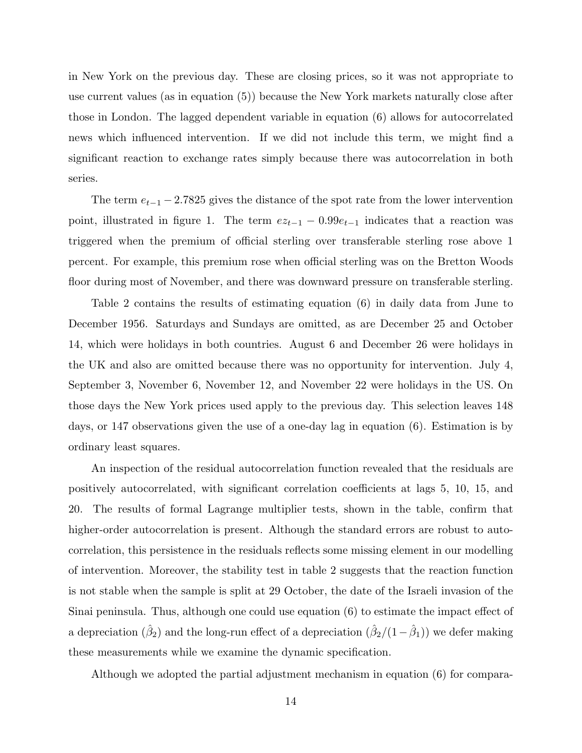in New York on the previous day. These are closing prices, so it was not appropriate to use current values (as in equation (5)) because the New York markets naturally close after those in London. The lagged dependent variable in equation (6) allows for autocorrelated news which influenced intervention. If we did not include this term, we might find a significant reaction to exchange rates simply because there was autocorrelation in both series.

The term  $e_{t-1}$  − 2.7825 gives the distance of the spot rate from the lower intervention point, illustrated in figure 1. The term  $ez_{t-1} - 0.99e_{t-1}$  indicates that a reaction was triggered when the premium of official sterling over transferable sterling rose above 1 percent. For example, this premium rose when official sterling was on the Bretton Woods floor during most of November, and there was downward pressure on transferable sterling.

Table 2 contains the results of estimating equation (6) in daily data from June to December 1956. Saturdays and Sundays are omitted, as are December 25 and October 14, which were holidays in both countries. August 6 and December 26 were holidays in the UK and also are omitted because there was no opportunity for intervention. July 4, September 3, November 6, November 12, and November 22 were holidays in the US. On those days the New York prices used apply to the previous day. This selection leaves 148 days, or 147 observations given the use of a one-day lag in equation (6). Estimation is by ordinary least squares.

An inspection of the residual autocorrelation function revealed that the residuals are positively autocorrelated, with significant correlation coefficients at lags 5, 10, 15, and 20. The results of formal Lagrange multiplier tests, shown in the table, confirm that higher-order autocorrelation is present. Although the standard errors are robust to autocorrelation, this persistence in the residuals reflects some missing element in our modelling of intervention. Moreover, the stability test in table 2 suggests that the reaction function is not stable when the sample is split at 29 October, the date of the Israeli invasion of the Sinai peninsula. Thus, although one could use equation (6) to estimate the impact effect of a depreciation  $(\hat{\beta}_2)$  and the long-run effect of a depreciation  $(\hat{\beta}_2/(1-\hat{\beta}_1))$  we defer making these measurements while we examine the dynamic specification.

Although we adopted the partial adjustment mechanism in equation (6) for compara-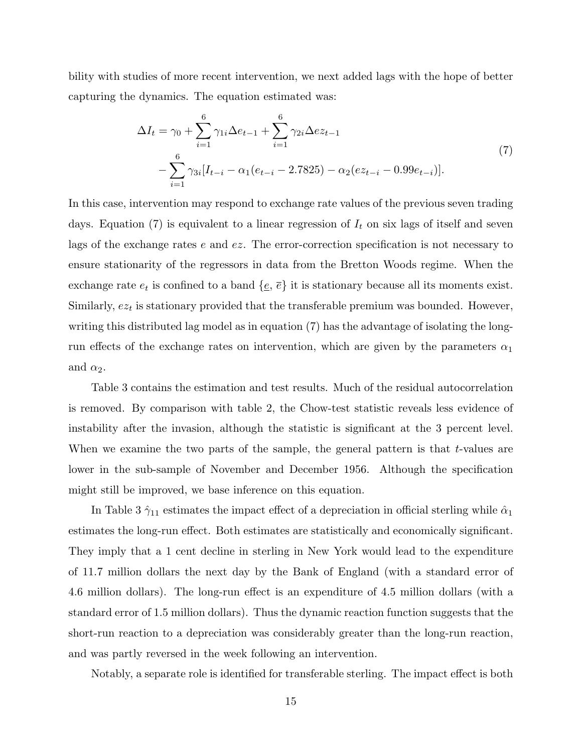bility with studies of more recent intervention, we next added lags with the hope of better capturing the dynamics. The equation estimated was:

$$
\Delta I_t = \gamma_0 + \sum_{i=1}^6 \gamma_{1i} \Delta e_{t-1} + \sum_{i=1}^6 \gamma_{2i} \Delta e z_{t-1}
$$
  
 
$$
- \sum_{i=1}^6 \gamma_{3i} [I_{t-i} - \alpha_1(e_{t-i} - 2.7825) - \alpha_2(e z_{t-i} - 0.99 e_{t-i})].
$$
 (7)

In this case, intervention may respond to exchange rate values of the previous seven trading days. Equation (7) is equivalent to a linear regression of  $I_t$  on six lags of itself and seven lags of the exchange rates e and ez. The error-correction specification is not necessary to ensure stationarity of the regressors in data from the Bretton Woods regime. When the exchange rate  $e_t$  is confined to a band  $\{e, \overline{e}\}\)$  it is stationary because all its moments exist. Similarly,  $e_{z_t}$  is stationary provided that the transferable premium was bounded. However, writing this distributed lag model as in equation (7) has the advantage of isolating the longrun effects of the exchange rates on intervention, which are given by the parameters  $\alpha_1$ and  $\alpha_2$ .

Table 3 contains the estimation and test results. Much of the residual autocorrelation is removed. By comparison with table 2, the Chow-test statistic reveals less evidence of instability after the invasion, although the statistic is significant at the 3 percent level. When we examine the two parts of the sample, the general pattern is that  $t$ -values are lower in the sub-sample of November and December 1956. Although the specification might still be improved, we base inference on this equation.

In Table 3  $\hat{\gamma}_{11}$  estimates the impact effect of a depreciation in official sterling while  $\hat{\alpha}_1$ estimates the long-run effect. Both estimates are statistically and economically significant. They imply that a 1 cent decline in sterling in New York would lead to the expenditure of 11.7 million dollars the next day by the Bank of England (with a standard error of 4.6 million dollars). The long-run effect is an expenditure of 4.5 million dollars (with a standard error of 1.5 million dollars). Thus the dynamic reaction function suggests that the short-run reaction to a depreciation was considerably greater than the long-run reaction, and was partly reversed in the week following an intervention.

Notably, a separate role is identified for transferable sterling. The impact effect is both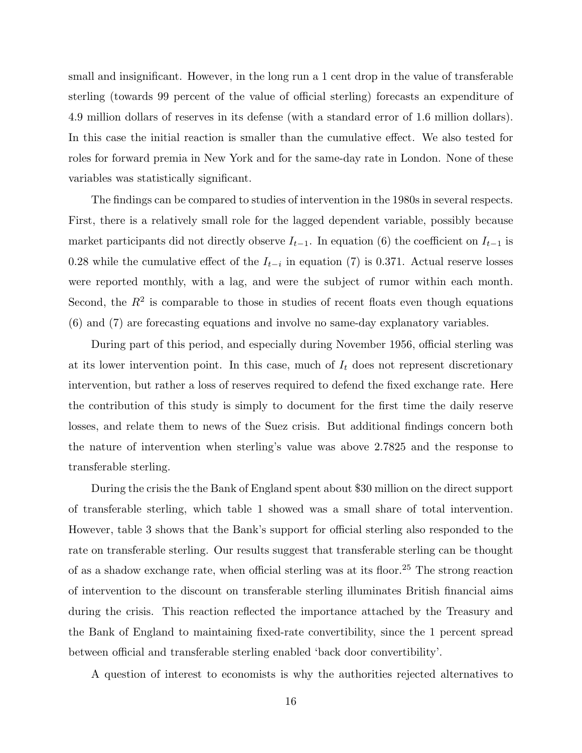small and insignificant. However, in the long run a 1 cent drop in the value of transferable sterling (towards 99 percent of the value of official sterling) forecasts an expenditure of 4.9 million dollars of reserves in its defense (with a standard error of 1.6 million dollars). In this case the initial reaction is smaller than the cumulative effect. We also tested for roles for forward premia in New York and for the same-day rate in London. None of these variables was statistically significant.

The findings can be compared to studies of intervention in the 1980s in several respects. First, there is a relatively small role for the lagged dependent variable, possibly because market participants did not directly observe  $I_{t-1}$ . In equation (6) the coefficient on  $I_{t-1}$  is 0.28 while the cumulative effect of the  $I_{t-i}$  in equation (7) is 0.371. Actual reserve losses were reported monthly, with a lag, and were the subject of rumor within each month. Second, the  $R^2$  is comparable to those in studies of recent floats even though equations (6) and (7) are forecasting equations and involve no same-day explanatory variables.

During part of this period, and especially during November 1956, official sterling was at its lower intervention point. In this case, much of  $I_t$  does not represent discretionary intervention, but rather a loss of reserves required to defend the fixed exchange rate. Here the contribution of this study is simply to document for the first time the daily reserve losses, and relate them to news of the Suez crisis. But additional findings concern both the nature of intervention when sterling's value was above 2.7825 and the response to transferable sterling.

During the crisis the the Bank of England spent about \$30 million on the direct support of transferable sterling, which table 1 showed was a small share of total intervention. However, table 3 shows that the Bank's support for official sterling also responded to the rate on transferable sterling. Our results suggest that transferable sterling can be thought of as a shadow exchange rate, when official sterling was at its floor.<sup>25</sup> The strong reaction of intervention to the discount on transferable sterling illuminates British financial aims during the crisis. This reaction reflected the importance attached by the Treasury and the Bank of England to maintaining fixed-rate convertibility, since the 1 percent spread between official and transferable sterling enabled 'back door convertibility'.

A question of interest to economists is why the authorities rejected alternatives to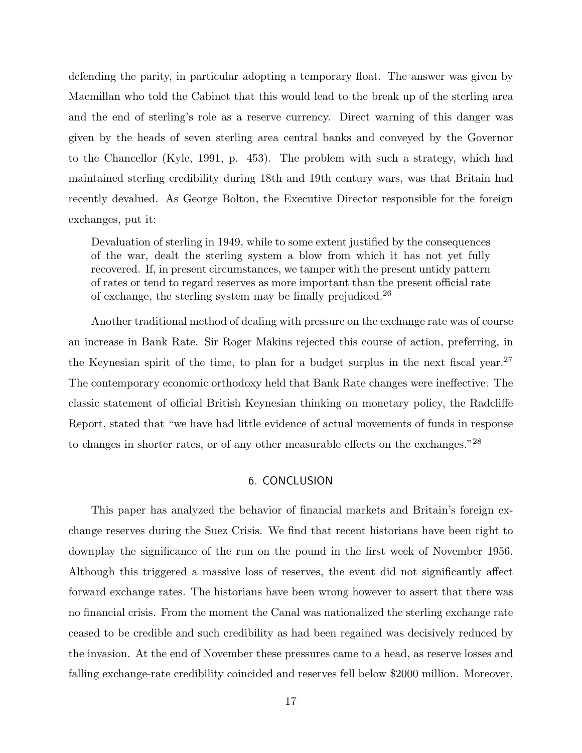defending the parity, in particular adopting a temporary float. The answer was given by Macmillan who told the Cabinet that this would lead to the break up of the sterling area and the end of sterling's role as a reserve currency. Direct warning of this danger was given by the heads of seven sterling area central banks and conveyed by the Governor to the Chancellor (Kyle, 1991, p. 453). The problem with such a strategy, which had maintained sterling credibility during 18th and 19th century wars, was that Britain had recently devalued. As George Bolton, the Executive Director responsible for the foreign exchanges, put it:

Devaluation of sterling in 1949, while to some extent justified by the consequences of the war, dealt the sterling system a blow from which it has not yet fully recovered. If, in present circumstances, we tamper with the present untidy pattern of rates or tend to regard reserves as more important than the present official rate of exchange, the sterling system may be finally prejudiced.<sup>26</sup>

Another traditional method of dealing with pressure on the exchange rate was of course an increase in Bank Rate. Sir Roger Makins rejected this course of action, preferring, in the Keynesian spirit of the time, to plan for a budget surplus in the next fiscal year.<sup>27</sup> The contemporary economic orthodoxy held that Bank Rate changes were ineffective. The classic statement of official British Keynesian thinking on monetary policy, the Radcliffe Report, stated that "we have had little evidence of actual movements of funds in response to changes in shorter rates, or of any other measurable effects on the exchanges."<sup>28</sup>

## 6. CONCLUSION

This paper has analyzed the behavior of financial markets and Britain's foreign exchange reserves during the Suez Crisis. We find that recent historians have been right to downplay the significance of the run on the pound in the first week of November 1956. Although this triggered a massive loss of reserves, the event did not significantly affect forward exchange rates. The historians have been wrong however to assert that there was no financial crisis. From the moment the Canal was nationalized the sterling exchange rate ceased to be credible and such credibility as had been regained was decisively reduced by the invasion. At the end of November these pressures came to a head, as reserve losses and falling exchange-rate credibility coincided and reserves fell below \$2000 million. Moreover,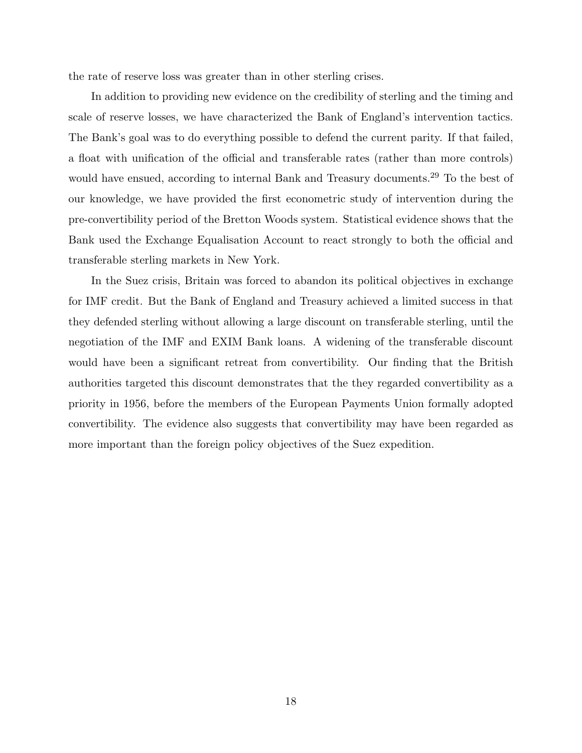the rate of reserve loss was greater than in other sterling crises.

In addition to providing new evidence on the credibility of sterling and the timing and scale of reserve losses, we have characterized the Bank of England's intervention tactics. The Bank's goal was to do everything possible to defend the current parity. If that failed, a float with unification of the official and transferable rates (rather than more controls) would have ensued, according to internal Bank and Treasury documents.<sup>29</sup> To the best of our knowledge, we have provided the first econometric study of intervention during the pre-convertibility period of the Bretton Woods system. Statistical evidence shows that the Bank used the Exchange Equalisation Account to react strongly to both the official and transferable sterling markets in New York.

In the Suez crisis, Britain was forced to abandon its political objectives in exchange for IMF credit. But the Bank of England and Treasury achieved a limited success in that they defended sterling without allowing a large discount on transferable sterling, until the negotiation of the IMF and EXIM Bank loans. A widening of the transferable discount would have been a significant retreat from convertibility. Our finding that the British authorities targeted this discount demonstrates that the they regarded convertibility as a priority in 1956, before the members of the European Payments Union formally adopted convertibility. The evidence also suggests that convertibility may have been regarded as more important than the foreign policy objectives of the Suez expedition.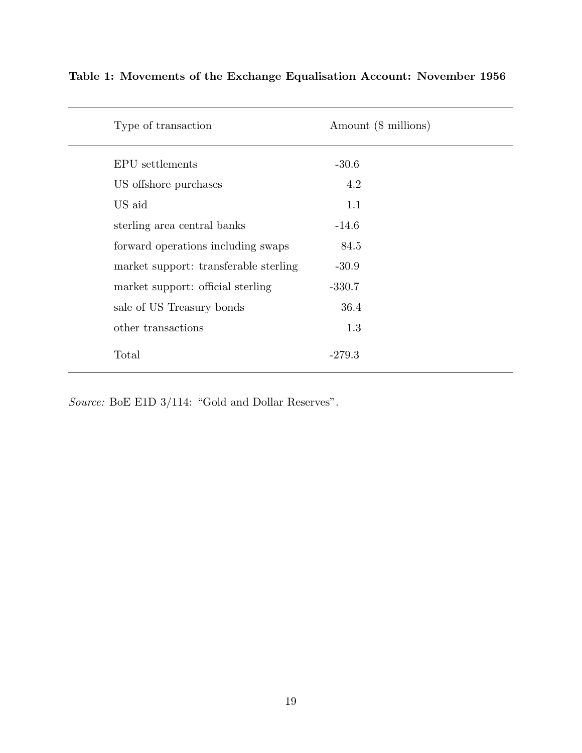| Type of transaction                   | Amount (\$ millions) |  |
|---------------------------------------|----------------------|--|
| EPU settlements                       | $-30.6$              |  |
| US offshore purchases                 | 4.2                  |  |
| US aid                                | 1.1                  |  |
| sterling area central banks           | $-14.6$              |  |
| forward operations including swaps    | 84.5                 |  |
| market support: transferable sterling | $-30.9$              |  |
| market support: official sterling     | $-330.7$             |  |
| sale of US Treasury bonds             | 36.4                 |  |
| other transactions                    | 1.3                  |  |
| Total                                 | $-279.3$             |  |

# **Table 1: Movements of the Exchange Equalisation Account: November 1956**

*Source:* BoE E1D 3/114: "Gold and Dollar Reserves".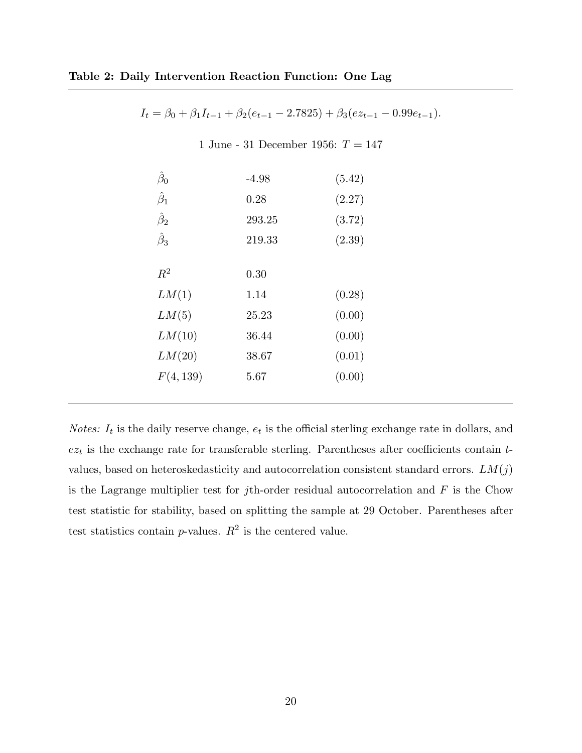$I_t = \beta_0 + \beta_1 I_{t-1} + \beta_2 (e_{t-1} - 2.7825) + \beta_3 (ez_{t-1} - 0.99e_{t-1}).$ 

1 June - 31 December 1956:  $T = 147$ 

| $\hat\beta_0$   | $-4.98$ | (5.42) |
|-----------------|---------|--------|
| $\hat{\beta}_1$ | 0.28    | (2.27) |
| $\hat{\beta}_2$ | 293.25  | (3.72) |
| $\hat{\beta}_3$ | 219.33  | (2.39) |
|                 |         |        |
| $R^2$           | 0.30    |        |
| LM(1)           | 1.14    | (0.28) |
| LM(5)           | 25.23   | (0.00) |
| LM(10)          | 36.44   | (0.00) |
| LM(20)          | 38.67   | (0.01) |
| F(4, 139)       | 5.67    | (0.00) |
|                 |         |        |

*Notes:*  $I_t$  is the daily reserve change,  $e_t$  is the official sterling exchange rate in dollars, and  $e_{i}$  is the exchange rate for transferable sterling. Parentheses after coefficients contain tvalues, based on heteroskedasticity and autocorrelation consistent standard errors.  $LM(j)$ is the Lagrange multiplier test for jth-order residual autocorrelation and  $F$  is the Chow test statistic for stability, based on splitting the sample at 29 October. Parentheses after test statistics contain  $p$ -values.  $R^2$  is the centered value.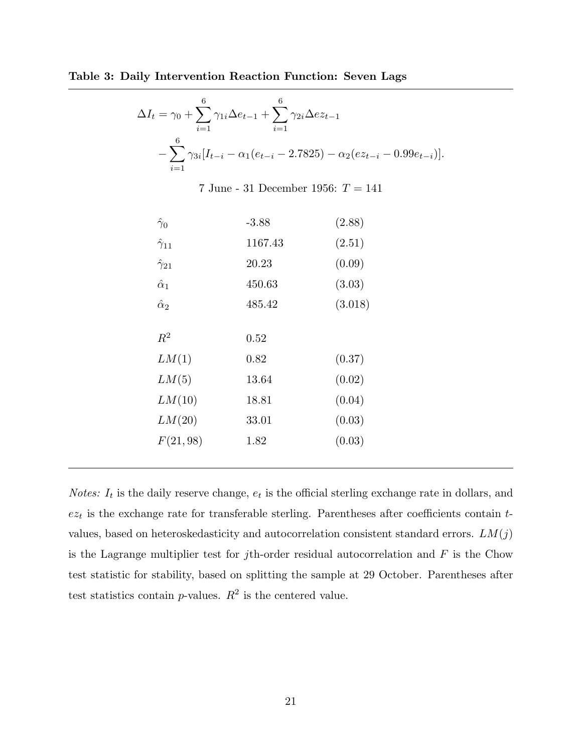**Table 3: Daily Intervention Reaction Function: Seven Lags**

$$
\Delta I_t = \gamma_0 + \sum_{i=1}^6 \gamma_{1i} \Delta e_{t-1} + \sum_{i=1}^6 \gamma_{2i} \Delta e z_{t-1}
$$

$$
- \sum_{i=1}^6 \gamma_{3i} [I_{t-i} - \alpha_1 (e_{t-i} - 2.7825) - \alpha_2 (e z_{t-i} - 0.99 e_{t-i})].
$$

7 June - 31 December 1956:  $T = 141$ 

| $\hat{\gamma}_0$    | $-3.88$ | (2.88)  |
|---------------------|---------|---------|
| $\hat{\gamma}_{11}$ | 1167.43 | (2.51)  |
| $\hat{\gamma}_{21}$ | 20.23   | (0.09)  |
| $\hat{\alpha}_1$    | 450.63  | (3.03)  |
| $\hat{\alpha}_2$    | 485.42  | (3.018) |
|                     |         |         |
| $R^2$               | 0.52    |         |
| LM(1)               | 0.82    | (0.37)  |
| LM(5)               | 13.64   | (0.02)  |
| LM(10)              | 18.81   | (0.04)  |
| LM(20)              | 33.01   | (0.03)  |
| F(21,98)            | 1.82    | (0.03)  |
|                     |         |         |

*Notes:*  $I_t$  is the daily reserve change,  $e_t$  is the official sterling exchange rate in dollars, and  $e_{zt}$  is the exchange rate for transferable sterling. Parentheses after coefficients contain  $t$ values, based on heteroskedasticity and autocorrelation consistent standard errors.  $LM(j)$ is the Lagrange multiplier test for jth-order residual autocorrelation and  $F$  is the Chow test statistic for stability, based on splitting the sample at 29 October. Parentheses after test statistics contain  $p$ -values.  $R^2$  is the centered value.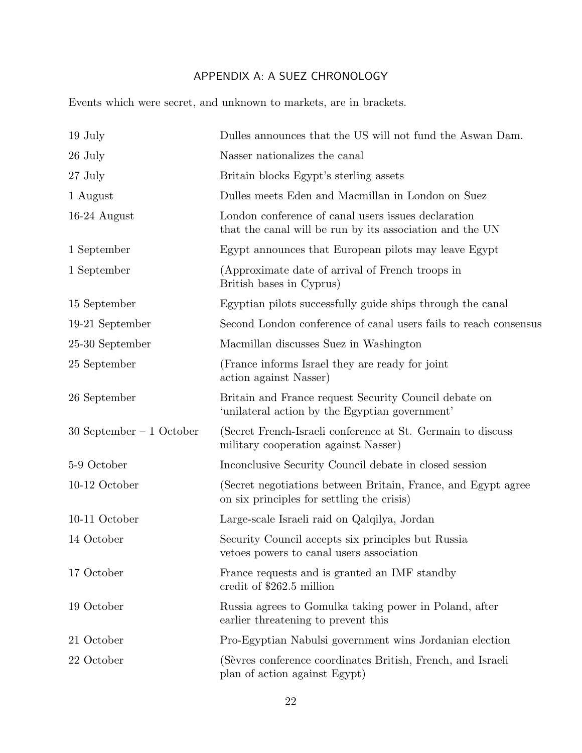# APPENDIX A: A SUEZ CHRONOLOGY

Events which were secret, and unknown to markets, are in brackets.

| $19$ July                  | Dulles announces that the US will not fund the Aswan Dam.                                                       |
|----------------------------|-----------------------------------------------------------------------------------------------------------------|
| 26 July                    | Nasser nationalizes the canal                                                                                   |
| 27 July                    | Britain blocks Egypt's sterling assets                                                                          |
| 1 August                   | Dulles meets Eden and Macmillan in London on Suez                                                               |
| $16-24$ August             | London conference of canal users issues declaration<br>that the canal will be run by its association and the UN |
| 1 September                | Egypt announces that European pilots may leave Egypt                                                            |
| 1 September                | (Approximate date of arrival of French troops in<br>British bases in Cyprus)                                    |
| 15 September               | Egyptian pilots successfully guide ships through the canal                                                      |
| 19-21 September            | Second London conference of canal users fails to reach consensus                                                |
| 25-30 September            | Macmillan discusses Suez in Washington                                                                          |
| 25 September               | (France informs Israel they are ready for joint)<br>action against Nasser)                                      |
| 26 September               | Britain and France request Security Council debate on<br>'unilateral action by the Egyptian government'         |
| $30$ September – 1 October | (Secret French-Israeli conference at St. Germain to discuss<br>military cooperation against Nasser)             |
| 5-9 October                | Inconclusive Security Council debate in closed session                                                          |
| $10-12$ October            | (Secret negotiations between Britain, France, and Egypt agree)<br>on six principles for settling the crisis)    |
| $10-11$ October            | Large-scale Israeli raid on Qalqilya, Jordan                                                                    |
| 14 October                 | Security Council accepts six principles but Russia<br>vetoes powers to canal users association                  |
| 17 October                 | France requests and is granted an IMF standby<br>credit of \$262.5 million                                      |
| 19 October                 | Russia agrees to Gomulka taking power in Poland, after<br>earlier threatening to prevent this                   |
| 21 October                 | Pro-Egyptian Nabulsi government wins Jordanian election                                                         |
| 22 October                 | (Sèvres conference coordinates British, French, and Israeli<br>plan of action against Egypt)                    |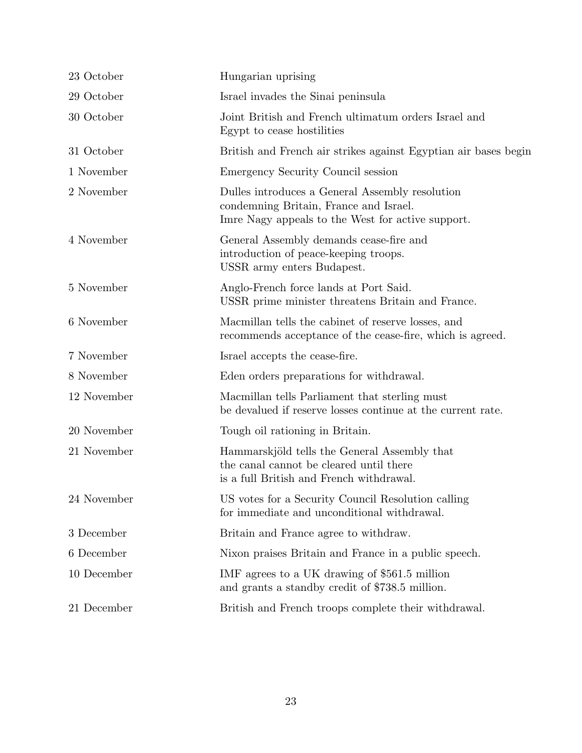| 23 October  | Hungarian uprising                                                                                                                             |
|-------------|------------------------------------------------------------------------------------------------------------------------------------------------|
| 29 October  | Israel invades the Sinai peninsula                                                                                                             |
| 30 October  | Joint British and French ultimatum orders Israel and<br>Egypt to cease hostilities                                                             |
| 31 October  | British and French air strikes against Egyptian air bases begin                                                                                |
| 1 November  | Emergency Security Council session                                                                                                             |
| 2 November  | Dulles introduces a General Assembly resolution<br>condemning Britain, France and Israel.<br>Imre Nagy appeals to the West for active support. |
| 4 November  | General Assembly demands cease-fire and<br>introduction of peace-keeping troops.<br>USSR army enters Budapest.                                 |
| 5 November  | Anglo-French force lands at Port Said.<br>USSR prime minister threatens Britain and France.                                                    |
| 6 November  | Macmillan tells the cabinet of reserve losses, and<br>recommends acceptance of the cease-fire, which is agreed.                                |
| 7 November  | Israel accepts the cease-fire.                                                                                                                 |
| 8 November  | Eden orders preparations for withdrawal.                                                                                                       |
| 12 November | Macmillan tells Parliament that sterling must<br>be devalued if reserve losses continue at the current rate.                                   |
| 20 November | Tough oil rationing in Britain.                                                                                                                |
| 21 November | Hammarskjöld tells the General Assembly that<br>the canal cannot be cleared until there<br>is a full British and French withdrawal.            |
| 24 November | US votes for a Security Council Resolution calling<br>for immediate and unconditional withdrawal.                                              |
| 3 December  | Britain and France agree to withdraw.                                                                                                          |
| 6 December  | Nixon praises Britain and France in a public speech.                                                                                           |
| 10 December | IMF agrees to a UK drawing of \$561.5 million<br>and grants a standby credit of \$738.5 million.                                               |
| 21 December | British and French troops complete their withdrawal.                                                                                           |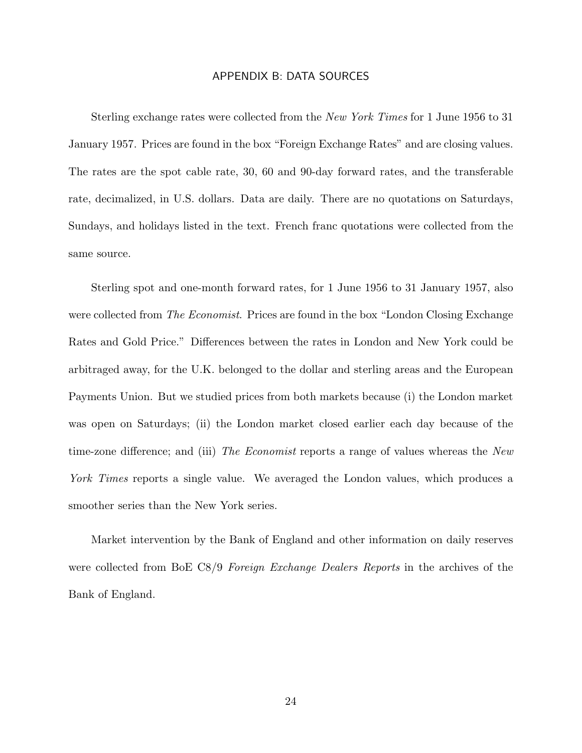## APPENDIX B: DATA SOURCES

Sterling exchange rates were collected from the *New York Times* for 1 June 1956 to 31 January 1957. Prices are found in the box "Foreign Exchange Rates" and are closing values. The rates are the spot cable rate, 30, 60 and 90-day forward rates, and the transferable rate, decimalized, in U.S. dollars. Data are daily. There are no quotations on Saturdays, Sundays, and holidays listed in the text. French franc quotations were collected from the same source.

Sterling spot and one-month forward rates, for 1 June 1956 to 31 January 1957, also were collected from *The Economist*. Prices are found in the box "London Closing Exchange Rates and Gold Price." Differences between the rates in London and New York could be arbitraged away, for the U.K. belonged to the dollar and sterling areas and the European Payments Union. But we studied prices from both markets because (i) the London market was open on Saturdays; (ii) the London market closed earlier each day because of the time-zone difference; and (iii) *The Economist* reports a range of values whereas the *New York Times* reports a single value. We averaged the London values, which produces a smoother series than the New York series.

Market intervention by the Bank of England and other information on daily reserves were collected from BoE C8/9 *Foreign Exchange Dealers Reports* in the archives of the Bank of England.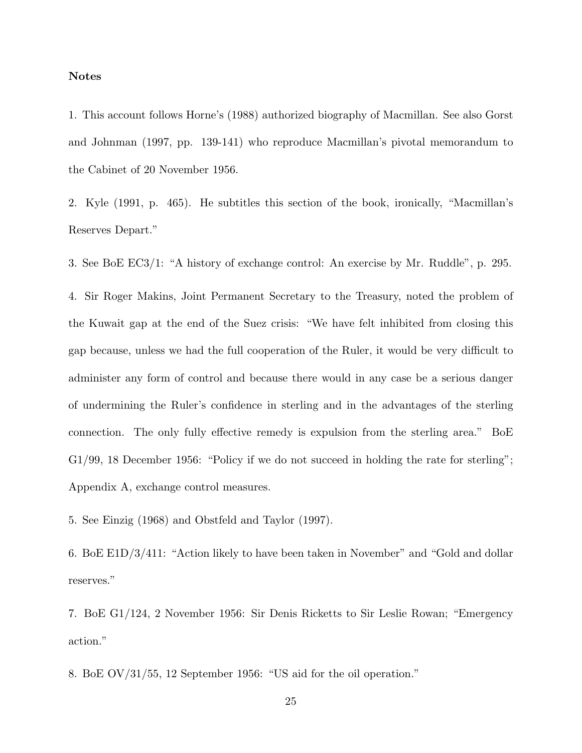#### **Notes**

1. This account follows Horne's (1988) authorized biography of Macmillan. See also Gorst and Johnman (1997, pp. 139-141) who reproduce Macmillan's pivotal memorandum to the Cabinet of 20 November 1956.

2. Kyle (1991, p. 465). He subtitles this section of the book, ironically, "Macmillan's Reserves Depart."

3. See BoE EC3/1: "A history of exchange control: An exercise by Mr. Ruddle", p. 295.

4. Sir Roger Makins, Joint Permanent Secretary to the Treasury, noted the problem of the Kuwait gap at the end of the Suez crisis: "We have felt inhibited from closing this gap because, unless we had the full cooperation of the Ruler, it would be very difficult to administer any form of control and because there would in any case be a serious danger of undermining the Ruler's confidence in sterling and in the advantages of the sterling connection. The only fully effective remedy is expulsion from the sterling area." BoE G1/99, 18 December 1956: "Policy if we do not succeed in holding the rate for sterling"; Appendix A, exchange control measures.

5. See Einzig (1968) and Obstfeld and Taylor (1997).

6. BoE E1D/3/411: "Action likely to have been taken in November" and "Gold and dollar reserves."

7. BoE G1/124, 2 November 1956: Sir Denis Ricketts to Sir Leslie Rowan; "Emergency action."

8. BoE OV/31/55, 12 September 1956: "US aid for the oil operation."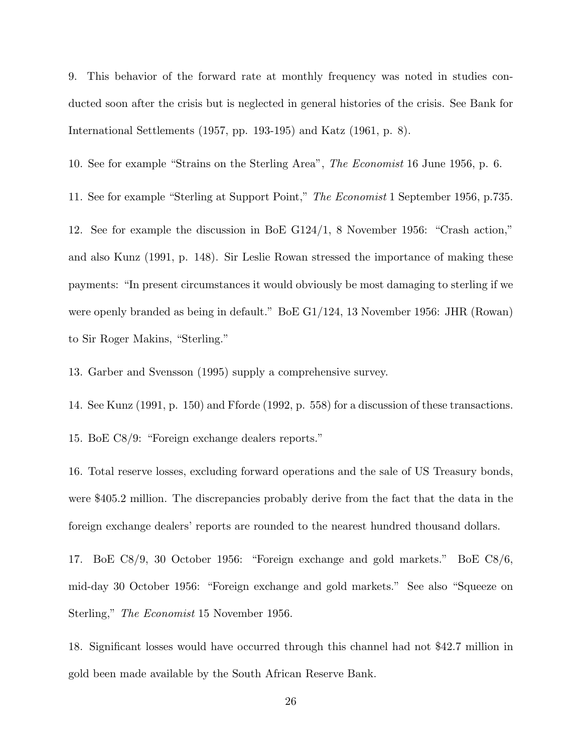9. This behavior of the forward rate at monthly frequency was noted in studies conducted soon after the crisis but is neglected in general histories of the crisis. See Bank for International Settlements (1957, pp. 193-195) and Katz (1961, p. 8).

10. See for example "Strains on the Sterling Area", *The Economist* 16 June 1956, p. 6.

11. See for example "Sterling at Support Point," *The Economist* 1 September 1956, p.735.

12. See for example the discussion in BoE G124/1, 8 November 1956: "Crash action," and also Kunz (1991, p. 148). Sir Leslie Rowan stressed the importance of making these payments: "In present circumstances it would obviously be most damaging to sterling if we were openly branded as being in default." BoE G1/124, 13 November 1956: JHR (Rowan) to Sir Roger Makins, "Sterling."

13. Garber and Svensson (1995) supply a comprehensive survey.

14. See Kunz (1991, p. 150) and Fforde (1992, p. 558) for a discussion of these transactions.

15. BoE C8/9: "Foreign exchange dealers reports."

16. Total reserve losses, excluding forward operations and the sale of US Treasury bonds, were \$405.2 million. The discrepancies probably derive from the fact that the data in the foreign exchange dealers' reports are rounded to the nearest hundred thousand dollars.

17. BoE C8/9, 30 October 1956: "Foreign exchange and gold markets." BoE C8/6, mid-day 30 October 1956: "Foreign exchange and gold markets." See also "Squeeze on Sterling," *The Economist* 15 November 1956.

18. Significant losses would have occurred through this channel had not \$42.7 million in gold been made available by the South African Reserve Bank.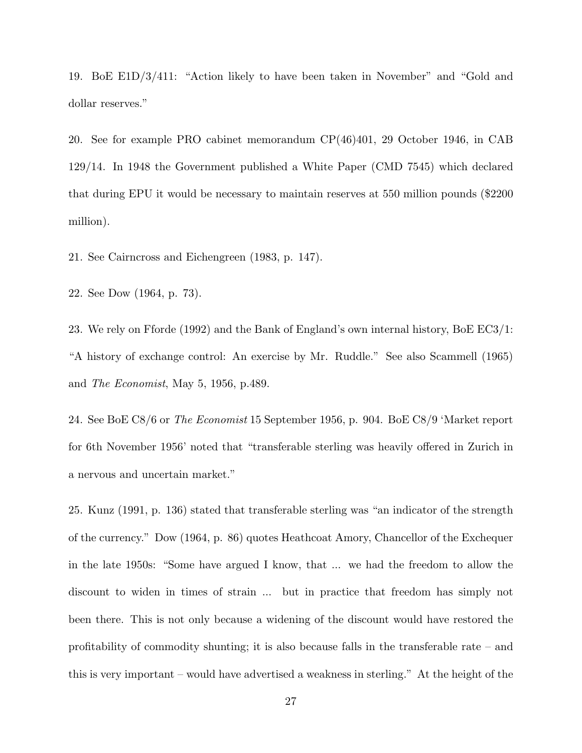19. BoE E1D/3/411: "Action likely to have been taken in November" and "Gold and dollar reserves."

20. See for example PRO cabinet memorandum CP(46)401, 29 October 1946, in CAB 129/14. In 1948 the Government published a White Paper (CMD 7545) which declared that during EPU it would be necessary to maintain reserves at 550 million pounds (\$2200 million).

21. See Cairncross and Eichengreen (1983, p. 147).

22. See Dow (1964, p. 73).

23. We rely on Fforde (1992) and the Bank of England's own internal history, BoE EC3/1: "A history of exchange control: An exercise by Mr. Ruddle." See also Scammell (1965) and *The Economist*, May 5, 1956, p.489.

24. See BoE C8/6 or *The Economist* 15 September 1956, p. 904. BoE C8/9 'Market report for 6th November 1956' noted that "transferable sterling was heavily offered in Zurich in a nervous and uncertain market."

25. Kunz (1991, p. 136) stated that transferable sterling was "an indicator of the strength of the currency." Dow (1964, p. 86) quotes Heathcoat Amory, Chancellor of the Exchequer in the late 1950s: "Some have argued I know, that ... we had the freedom to allow the discount to widen in times of strain ... but in practice that freedom has simply not been there. This is not only because a widening of the discount would have restored the profitability of commodity shunting; it is also because falls in the transferable rate – and this is very important – would have advertised a weakness in sterling." At the height of the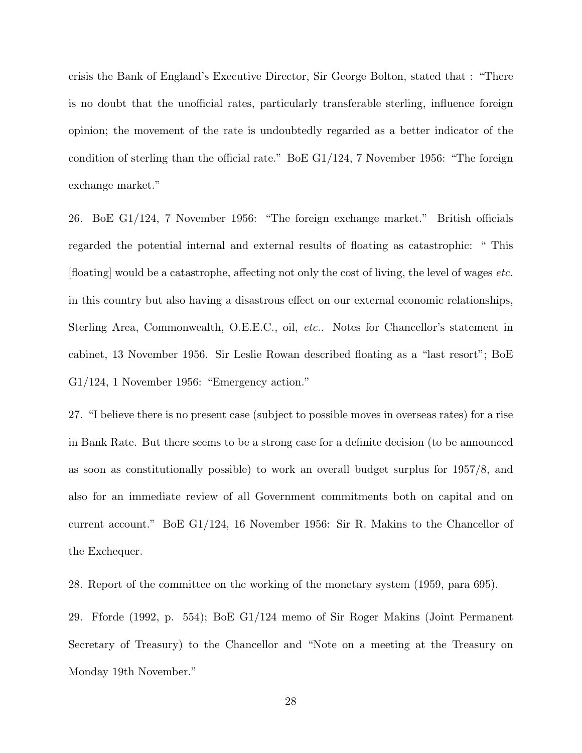crisis the Bank of England's Executive Director, Sir George Bolton, stated that : "There is no doubt that the unofficial rates, particularly transferable sterling, influence foreign opinion; the movement of the rate is undoubtedly regarded as a better indicator of the condition of sterling than the official rate." BoE G1/124, 7 November 1956: "The foreign exchange market."

26. BoE G1/124, 7 November 1956: "The foreign exchange market." British officials regarded the potential internal and external results of floating as catastrophic: " This [floating] would be a catastrophe, affecting not only the cost of living, the level of wages *etc.* in this country but also having a disastrous effect on our external economic relationships, Sterling Area, Commonwealth, O.E.E.C., oil, *etc.*. Notes for Chancellor's statement in cabinet, 13 November 1956. Sir Leslie Rowan described floating as a "last resort"; BoE G1/124, 1 November 1956: "Emergency action."

27. "I believe there is no present case (subject to possible moves in overseas rates) for a rise in Bank Rate. But there seems to be a strong case for a definite decision (to be announced as soon as constitutionally possible) to work an overall budget surplus for 1957/8, and also for an immediate review of all Government commitments both on capital and on current account." BoE G1/124, 16 November 1956: Sir R. Makins to the Chancellor of the Exchequer.

28. Report of the committee on the working of the monetary system (1959, para 695).

29. Fforde (1992, p. 554); BoE G1/124 memo of Sir Roger Makins (Joint Permanent Secretary of Treasury) to the Chancellor and "Note on a meeting at the Treasury on Monday 19th November."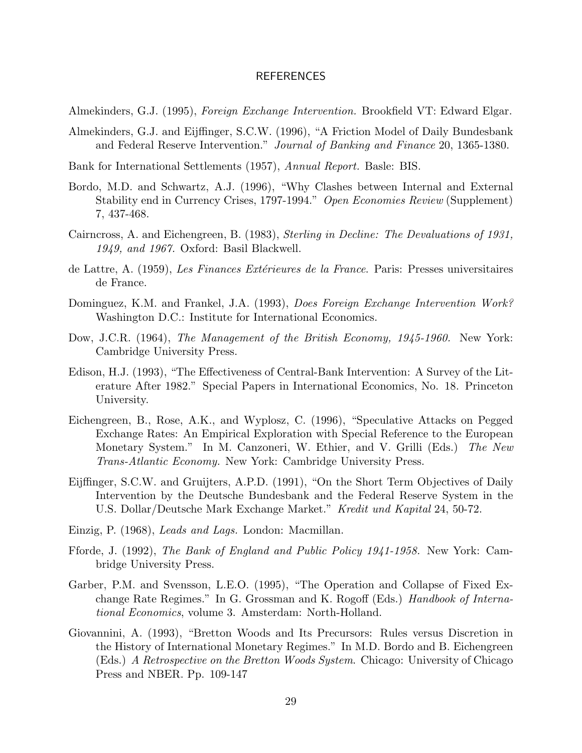#### REFERENCES

Almekinders, G.J. (1995), *Foreign Exchange Intervention.* Brookfield VT: Edward Elgar.

- Almekinders, G.J. and Eijffinger, S.C.W. (1996), "A Friction Model of Daily Bundesbank and Federal Reserve Intervention." *Journal of Banking and Finance* 20, 1365-1380.
- Bank for International Settlements (1957), *Annual Report.* Basle: BIS.
- Bordo, M.D. and Schwartz, A.J. (1996), "Why Clashes between Internal and External Stability end in Currency Crises, 1797-1994." *Open Economies Review* (Supplement) 7, 437-468.
- Cairncross, A. and Eichengreen, B. (1983), *Sterling in Decline: The Devaluations of 1931, 1949, and 1967.* Oxford: Basil Blackwell.
- de Lattre, A. (1959), *Les Finances Ext´erieures de la France*. Paris: Presses universitaires de France.
- Dominguez, K.M. and Frankel, J.A. (1993), *Does Foreign Exchange Intervention Work?* Washington D.C.: Institute for International Economics.
- Dow, J.C.R. (1964), *The Management of the British Economy, 1945-1960.* New York: Cambridge University Press.
- Edison, H.J. (1993), "The Effectiveness of Central-Bank Intervention: A Survey of the Literature After 1982." Special Papers in International Economics, No. 18. Princeton University.
- Eichengreen, B., Rose, A.K., and Wyplosz, C. (1996), "Speculative Attacks on Pegged Exchange Rates: An Empirical Exploration with Special Reference to the European Monetary System." In M. Canzoneri, W. Ethier, and V. Grilli (Eds.) *The New Trans-Atlantic Economy.* New York: Cambridge University Press.
- Eijffinger, S.C.W. and Gruijters, A.P.D. (1991), "On the Short Term Objectives of Daily Intervention by the Deutsche Bundesbank and the Federal Reserve System in the U.S. Dollar/Deutsche Mark Exchange Market." *Kredit und Kapital* 24, 50-72.
- Einzig, P. (1968), *Leads and Lags.* London: Macmillan.
- Fforde, J. (1992), *The Bank of England and Public Policy 1941-1958.* New York: Cambridge University Press.
- Garber, P.M. and Svensson, L.E.O. (1995), "The Operation and Collapse of Fixed Exchange Rate Regimes." In G. Grossman and K. Rogoff (Eds.) *Handbook of International Economics*, volume 3. Amsterdam: North-Holland.
- Giovannini, A. (1993), "Bretton Woods and Its Precursors: Rules versus Discretion in the History of International Monetary Regimes." In M.D. Bordo and B. Eichengreen (Eds.) *A Retrospective on the Bretton Woods System*. Chicago: University of Chicago Press and NBER. Pp. 109-147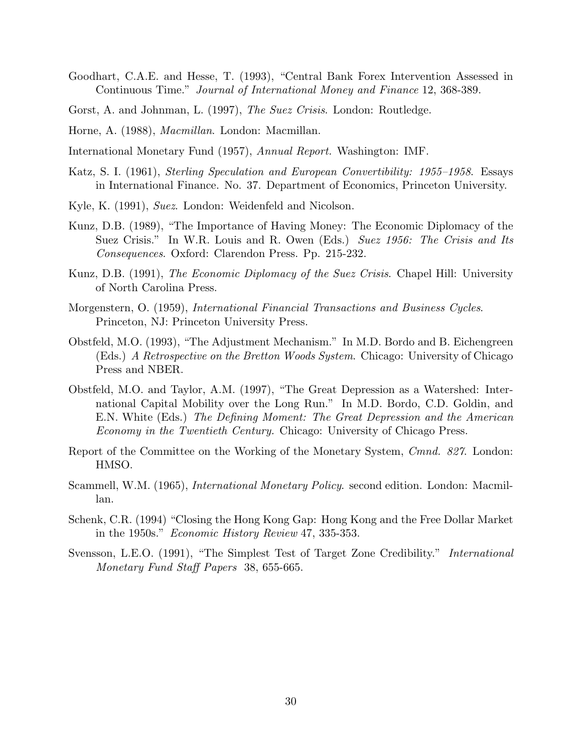- Goodhart, C.A.E. and Hesse, T. (1993), "Central Bank Forex Intervention Assessed in Continuous Time." *Journal of International Money and Finance* 12, 368-389.
- Gorst, A. and Johnman, L. (1997), *The Suez Crisis*. London: Routledge.
- Horne, A. (1988), *Macmillan*. London: Macmillan.
- International Monetary Fund (1957), *Annual Report.* Washington: IMF.
- Katz, S. I. (1961), *Sterling Speculation and European Convertibility: 1955–1958*. Essays in International Finance. No. 37. Department of Economics, Princeton University.
- Kyle, K. (1991), *Suez*. London: Weidenfeld and Nicolson.
- Kunz, D.B. (1989), "The Importance of Having Money: The Economic Diplomacy of the Suez Crisis." In W.R. Louis and R. Owen (Eds.) *Suez 1956: The Crisis and Its Consequences*. Oxford: Clarendon Press. Pp. 215-232.
- Kunz, D.B. (1991), *The Economic Diplomacy of the Suez Crisis*. Chapel Hill: University of North Carolina Press.
- Morgenstern, O. (1959), *International Financial Transactions and Business Cycles*. Princeton, NJ: Princeton University Press.
- Obstfeld, M.O. (1993), "The Adjustment Mechanism." In M.D. Bordo and B. Eichengreen (Eds.) *A Retrospective on the Bretton Woods System*. Chicago: University of Chicago Press and NBER.
- Obstfeld, M.O. and Taylor, A.M. (1997), "The Great Depression as a Watershed: International Capital Mobility over the Long Run." In M.D. Bordo, C.D. Goldin, and E.N. White (Eds.) *The Defining Moment: The Great Depression and the American Economy in the Twentieth Century.* Chicago: University of Chicago Press.
- Report of the Committee on the Working of the Monetary System, *Cmnd. 827*. London: HMSO.
- Scammell, W.M. (1965), *International Monetary Policy*. second edition. London: Macmillan.
- Schenk, C.R. (1994) "Closing the Hong Kong Gap: Hong Kong and the Free Dollar Market in the 1950s." *Economic History Review* 47, 335-353.
- Svensson, L.E.O. (1991), "The Simplest Test of Target Zone Credibility." *International Monetary Fund Staff Papers* 38, 655-665.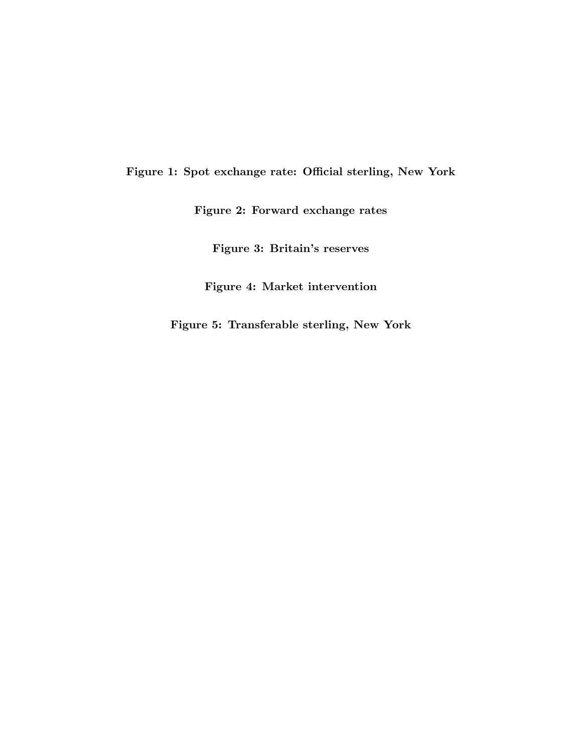**Figure 1: Spot exchange rate: Official sterling, New York**

**Figure 2: Forward exchange rates**

**Figure 3: Britain's reserves**

**Figure 4: Market intervention**

**Figure 5: Transferable sterling, New York**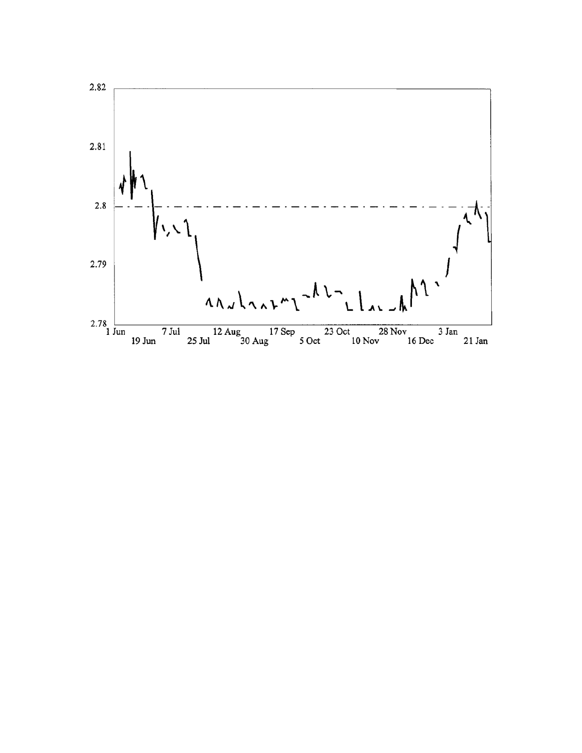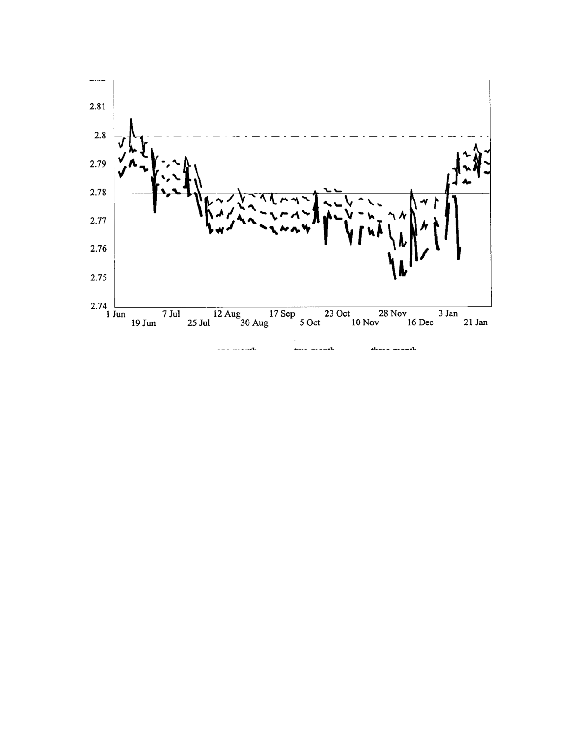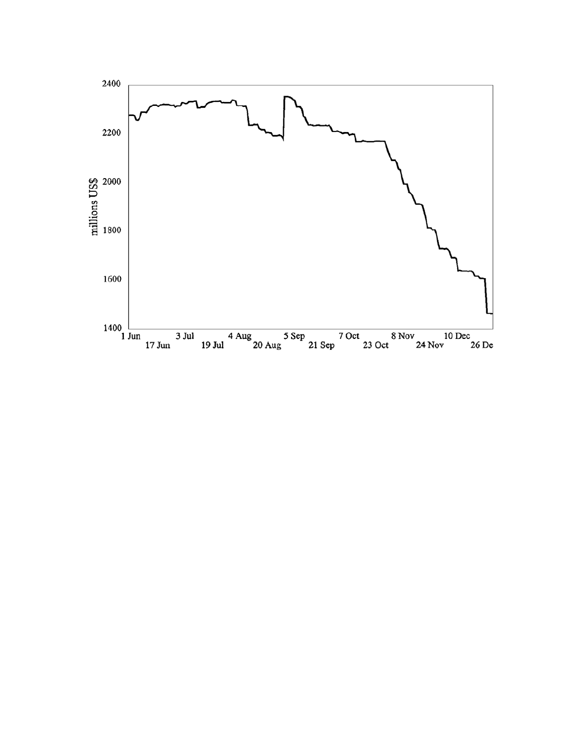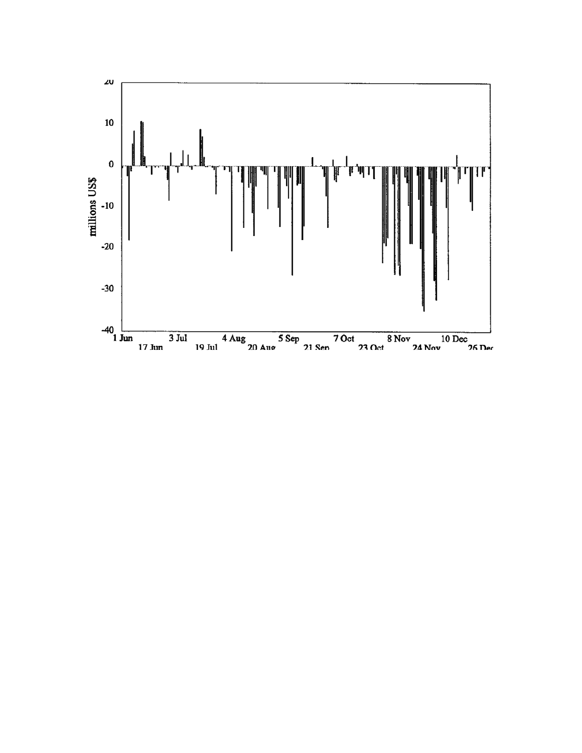